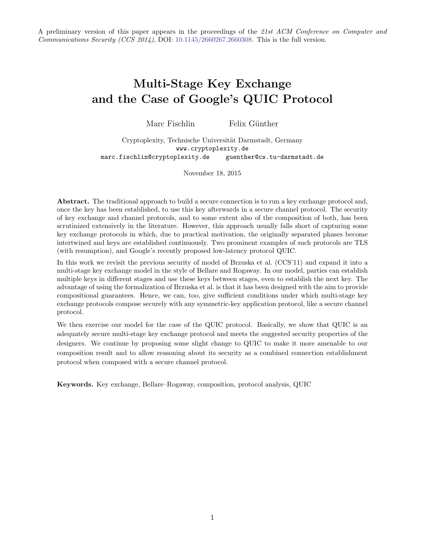A preliminary version of this paper appears in the proceedings of the 21st ACM Conference on Computer and Communications Security (CCS 2014), DOI: [10.1145/2660267.2660308.](http://dx.doi.org/10.1145/2660267.2660308) This is the full version.

# Multi-Stage Key Exchange and the Case of Google's QUIC Protocol

Marc Fischlin Felix Günther

Cryptoplexity, Technische Universität Darmstadt, Germany www.cryptoplexity.de marc.fischlin@cryptoplexity.de guenther@cs.tu-darmstadt.de

November 18, 2015

Abstract. The traditional approach to build a secure connection is to run a key exchange protocol and, once the key has been established, to use this key afterwards in a secure channel protocol. The security of key exchange and channel protocols, and to some extent also of the composition of both, has been scrutinized extensively in the literature. However, this approach usually falls short of capturing some key exchange protocols in which, due to practical motivation, the originally separated phases become intertwined and keys are established continuously. Two prominent examples of such protocols are TLS (with resumption), and Google's recently proposed low-latency protocol QUIC.

In this work we revisit the previous security of model of Brzuska et al. (CCS'11) and expand it into a multi-stage key exchange model in the style of Bellare and Rogaway. In our model, parties can establish multiple keys in different stages and use these keys between stages, even to establish the next key. The advantage of using the formalization of Brzuska et al. is that it has been designed with the aim to provide compositional guarantees. Hence, we can, too, give sufficient conditions under which multi-stage key exchange protocols compose securely with any symmetric-key application protocol, like a secure channel protocol.

We then exercise our model for the case of the QUIC protocol. Basically, we show that QUIC is an adequately secure multi-stage key exchange protocol and meets the suggested security properties of the designers. We continue by proposing some slight change to QUIC to make it more amenable to our composition result and to allow reasoning about its security as a combined connection establishment protocol when composed with a secure channel protocol.

Keywords. Key exchange, Bellare–Rogaway, composition, protocol analysis, QUIC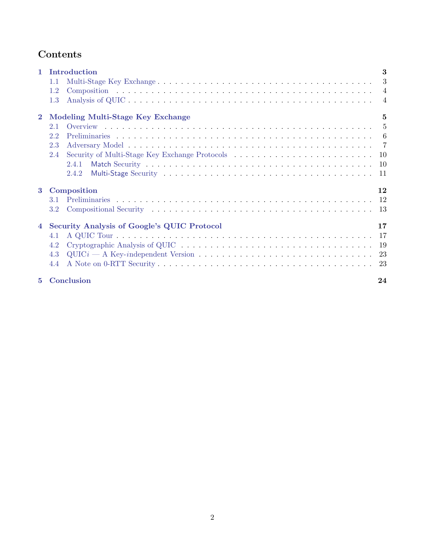| $\mathbf{1}$   | 3<br>Introduction                                                                                                                                                                                                                     |                           |  |  |
|----------------|---------------------------------------------------------------------------------------------------------------------------------------------------------------------------------------------------------------------------------------|---------------------------|--|--|
|                | 1.1                                                                                                                                                                                                                                   | $\overline{\phantom{a}3}$ |  |  |
|                | 1.2                                                                                                                                                                                                                                   |                           |  |  |
|                | 1.3                                                                                                                                                                                                                                   |                           |  |  |
| $2^{\circ}$    | Modeling Multi-Stage Key Exchange                                                                                                                                                                                                     | $\mathbf{5}$              |  |  |
|                | 2.1                                                                                                                                                                                                                                   |                           |  |  |
|                | 2.2                                                                                                                                                                                                                                   |                           |  |  |
|                | 2.3                                                                                                                                                                                                                                   |                           |  |  |
|                | 2.4                                                                                                                                                                                                                                   |                           |  |  |
|                | 2.4.1                                                                                                                                                                                                                                 |                           |  |  |
|                | 2.4.2                                                                                                                                                                                                                                 |                           |  |  |
| $\bf{3}$       | Composition                                                                                                                                                                                                                           | 12                        |  |  |
|                | 3.1                                                                                                                                                                                                                                   |                           |  |  |
|                | Compositional Security resources in the contract of the second security resources in the second security of the second second second second second second second second second second second second second second second secon<br>3.2 |                           |  |  |
| $\overline{4}$ | <b>Security Analysis of Google's QUIC Protocol</b><br>17                                                                                                                                                                              |                           |  |  |
|                | 4.1                                                                                                                                                                                                                                   |                           |  |  |
|                | 4.2                                                                                                                                                                                                                                   |                           |  |  |
|                | 4.3                                                                                                                                                                                                                                   |                           |  |  |
|                | 4.4                                                                                                                                                                                                                                   |                           |  |  |
|                | 5 Conclusion                                                                                                                                                                                                                          | 24                        |  |  |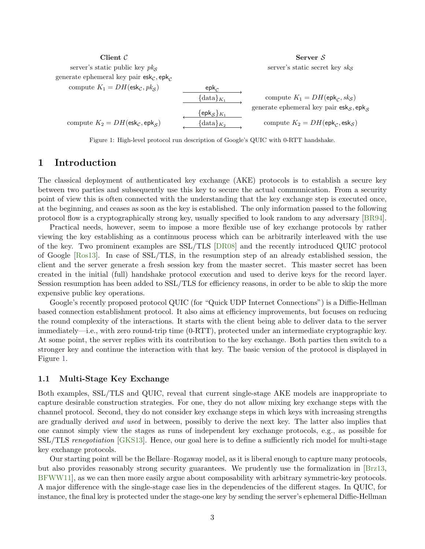<span id="page-2-3"></span><span id="page-2-2"></span>

| Client $\mathcal C$                                                                                |                                   | Server $S$                                                                           |
|----------------------------------------------------------------------------------------------------|-----------------------------------|--------------------------------------------------------------------------------------|
| server's static public key $pk_S$                                                                  |                                   | server's static secret key $sk_S$                                                    |
| generate ephemeral key pair $\mathsf{esk}_{\mathcal{C}}$ , epk <sub><math>\mathcal{C}</math></sub> |                                   |                                                                                      |
| compute $K_1 = DH(\mathsf{esk}_{\mathcal{C}}, \mathit{pk}_{\mathcal{S}})$                          | epk <sub>C</sub>                  |                                                                                      |
|                                                                                                    | $\{\text{data}\}_{K_1}$           | compute $K_1 = DH(\text{epk}_c, sk_{\mathcal{S}})$                                   |
|                                                                                                    | $\{{\sf epk}_\mathcal{S}\}_{K_1}$ | generate ephemeral key pair $\textsf{esk}_{\mathcal{S}}, \textsf{epk}_{\mathcal{S}}$ |
| compute $K_2 = DH(\mathsf{esk}_\mathcal{C}, \mathsf{epk}_\mathcal{S})$                             | $\{\text{data}\}_{K_2}$           | compute $K_2 = DH(\text{epk}_c, \text{esk}_S)$                                       |

Figure 1: High-level protocol run description of Google's QUIC with 0-RTT handshake.

# <span id="page-2-0"></span>1 Introduction

The classical deployment of authenticated key exchange (AKE) protocols is to establish a secure key between two parties and subsequently use this key to secure the actual communication. From a security point of view this is often connected with the understanding that the key exchange step is executed once, at the beginning, and ceases as soon as the key is established. The only information passed to the following protocol flow is a cryptographically strong key, usually specified to look random to any adversary [\[BR94\]](#page-24-0).

Practical needs, however, seem to impose a more flexible use of key exchange protocols by rather viewing the key establishing as a continuous process which can be arbitrarily interleaved with the use of the key. Two prominent examples are SSL/TLS [\[DR08\]](#page-25-0) and the recently introduced QUIC protocol of Google [\[Ros13\]](#page-26-0). In case of SSL/TLS, in the resumption step of an already established session, the client and the server generate a fresh session key from the master secret. This master secret has been created in the initial (full) handshake protocol execution and used to derive keys for the record layer. Session resumption has been added to SSL/TLS for efficiency reasons, in order to be able to skip the more expensive public key operations.

Google's recently proposed protocol QUIC (for "Quick UDP Internet Connections") is a Diffie-Hellman based connection establishment protocol. It also aims at efficiency improvements, but focuses on reducing the round complexity of the interactions. It starts with the client being able to deliver data to the server immediately—i.e., with zero round-trip time (0-RTT), protected under an intermediate cryptographic key. At some point, the server replies with its contribution to the key exchange. Both parties then switch to a stronger key and continue the interaction with that key. The basic version of the protocol is displayed in Figure [1.](#page-2-2)

### <span id="page-2-1"></span>1.1 Multi-Stage Key Exchange

Both examples, SSL/TLS and QUIC, reveal that current single-stage AKE models are inappropriate to capture desirable construction strategies. For one, they do not allow mixing key exchange steps with the channel protocol. Second, they do not consider key exchange steps in which keys with increasing strengths are gradually derived and used in between, possibly to derive the next key. The latter also implies that one cannot simply view the stages as runs of independent key exchange protocols, e.g., as possible for SSL/TLS renegotiation [\[GKS13\]](#page-25-1). Hence, our goal here is to define a sufficiently rich model for multi-stage key exchange protocols.

Our starting point will be the Bellare–Rogaway model, as it is liberal enough to capture many protocols, but also provides reasonably strong security guarantees. We prudently use the formalization in [\[Brz13,](#page-24-1) [BFWW11\]](#page-24-2), as we can then more easily argue about composability with arbitrary symmetric-key protocols. A major difference with the single-stage case lies in the dependencies of the different stages. In QUIC, for instance, the final key is protected under the stage-one key by sending the server's ephemeral Diffie-Hellman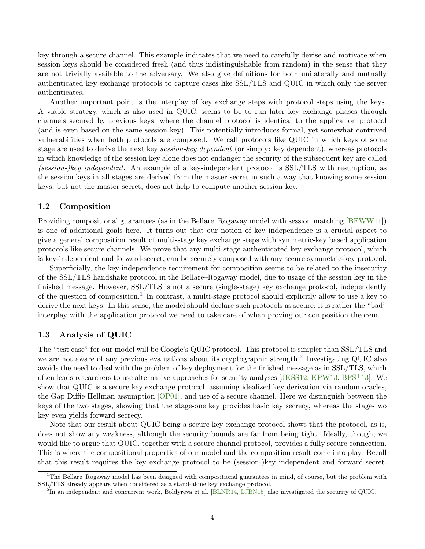<span id="page-3-4"></span>key through a secure channel. This example indicates that we need to carefully devise and motivate when session keys should be considered fresh (and thus indistinguishable from random) in the sense that they are not trivially available to the adversary. We also give definitions for both unilaterally and mutually authenticated key exchange protocols to capture cases like SSL/TLS and QUIC in which only the server authenticates.

Another important point is the interplay of key exchange steps with protocol steps using the keys. A viable strategy, which is also used in QUIC, seems to be to run later key exchange phases through channels secured by previous keys, where the channel protocol is identical to the application protocol (and is even based on the same session key). This potentially introduces formal, yet somewhat contrived vulnerabilities when both protocols are composed. We call protocols like QUIC in which keys of some stage are used to derive the next key *session-key dependent* (or simply: key dependent), whereas protocols in which knowledge of the session key alone does not endanger the security of the subsequent key are called (session-)key independent. An example of a key-independent protocol is SSL/TLS with resumption, as the session keys in all stages are derived from the master secret in such a way that knowing some session keys, but not the master secret, does not help to compute another session key.

#### <span id="page-3-0"></span>1.2 Composition

Providing compositional guarantees (as in the Bellare–Rogaway model with session matching [\[BFWW11\]](#page-24-2)) is one of additional goals here. It turns out that our notion of key independence is a crucial aspect to give a general composition result of multi-stage key exchange steps with symmetric-key based application protocols like secure channels. We prove that any multi-stage authenticated key exchange protocol, which is key-independent and forward-secret, can be securely composed with any secure symmetric-key protocol.

Superficially, the key-independence requirement for composition seems to be related to the insecurity of the SSL/TLS handshake protocol in the Bellare–Rogaway model, due to usage of the session key in the finished message. However, SSL/TLS is not a secure (single-stage) key exchange protocol, independently of the question of composition.<sup>[1](#page-3-2)</sup> In contrast, a multi-stage protocol should explicitly allow to use a key to derive the next keys. In this sense, the model should declare such protocols as secure; it is rather the "bad" interplay with the application protocol we need to take care of when proving our composition theorem.

## <span id="page-3-1"></span>1.3 Analysis of QUIC

The "test case" for our model will be Google's QUIC protocol. This protocol is simpler than SSL/TLS and we are not aware of any previous evaluations about its cryptographic strength.<sup>[2](#page-3-3)</sup> Investigating QUIC also avoids the need to deal with the problem of key deployment for the finished message as in SSL/TLS, which often leads researchers to use alternative approaches for security analyses  $[JKSS12, KPW13, BFS+13]$  $[JKSS12, KPW13, BFS+13]$  $[JKSS12, KPW13, BFS+13]$  $[JKSS12, KPW13, BFS+13]$  $[JKSS12, KPW13, BFS+13]$  $[JKSS12, KPW13, BFS+13]$ . We show that QUIC is a secure key exchange protocol, assuming idealized key derivation via random oracles, the Gap Diffie-Hellman assumption [\[OP01\]](#page-26-1), and use of a secure channel. Here we distinguish between the keys of the two stages, showing that the stage-one key provides basic key secrecy, whereas the stage-two key even yields forward secrecy.

Note that our result about QUIC being a secure key exchange protocol shows that the protocol, as is, does not show any weakness, although the security bounds are far from being tight. Ideally, though, we would like to argue that QUIC, together with a secure channel protocol, provides a fully secure connection. This is where the compositional properties of our model and the composition result come into play. Recall that this result requires the key exchange protocol to be (session-)key independent and forward-secret.

<span id="page-3-2"></span><sup>1</sup>The Bellare–Rogaway model has been designed with compositional guarantees in mind, of course, but the problem with SSL/TLS already appears when considered as a stand-alone key exchange protocol.

<span id="page-3-3"></span> ${}^{2}$ In an independent and concurrent work, Boldyreva et al. [\[BLNR14,](#page-24-4) [LJBN15\]](#page-25-4) also investigated the security of QUIC.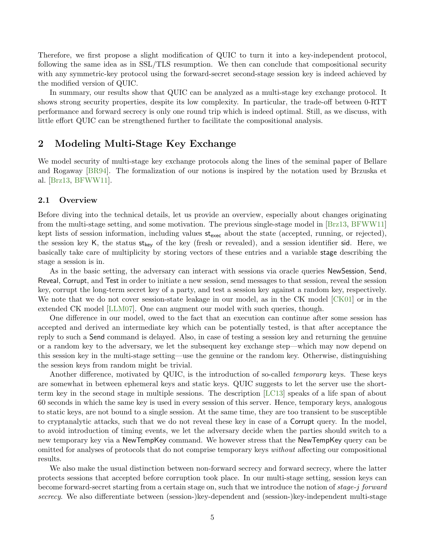<span id="page-4-2"></span>Therefore, we first propose a slight modification of QUIC to turn it into a key-independent protocol, following the same idea as in SSL/TLS resumption. We then can conclude that compositional security with any symmetric-key protocol using the forward-secret second-stage session key is indeed achieved by the modified version of QUIC.

In summary, our results show that QUIC can be analyzed as a multi-stage key exchange protocol. It shows strong security properties, despite its low complexity. In particular, the trade-off between 0-RTT performance and forward secrecy is only one round trip which is indeed optimal. Still, as we discuss, with little effort QUIC can be strengthened further to facilitate the compositional analysis.

# <span id="page-4-0"></span>2 Modeling Multi-Stage Key Exchange

We model security of multi-stage key exchange protocols along the lines of the seminal paper of Bellare and Rogaway [\[BR94\]](#page-24-0). The formalization of our notions is inspired by the notation used by Brzuska et al. [\[Brz13,](#page-24-1) [BFWW11\]](#page-24-2).

#### <span id="page-4-1"></span>2.1 Overview

Before diving into the technical details, let us provide an overview, especially about changes originating from the multi-stage setting, and some motivation. The previous single-stage model in [\[Brz13,](#page-24-1) [BFWW11\]](#page-24-2) kept lists of session information, including values  $st_{\text{exec}}$  about the state (accepted, running, or rejected), the session key K, the status  $st_{key}$  of the key (fresh or revealed), and a session identifier sid. Here, we basically take care of multiplicity by storing vectors of these entries and a variable stage describing the stage a session is in.

As in the basic setting, the adversary can interact with sessions via oracle queries NewSession, Send, Reveal, Corrupt, and Test in order to initiate a new session, send messages to that session, reveal the session key, corrupt the long-term secret key of a party, and test a session key against a random key, respectively. We note that we do not cover session-state leakage in our model, as in the CK model [\[CK01\]](#page-24-5) or in the extended CK model [\[LLM07\]](#page-25-5). One can augment our model with such queries, though.

One difference in our model, owed to the fact that an execution can continue after some session has accepted and derived an intermediate key which can be potentially tested, is that after acceptance the reply to such a Send command is delayed. Also, in case of testing a session key and returning the genuine or a random key to the adversary, we let the subsequent key exchange step—which may now depend on this session key in the multi-stage setting—use the genuine or the random key. Otherwise, distinguishing the session keys from random might be trivial.

Another difference, motivated by QUIC, is the introduction of so-called *temporary* keys. These keys are somewhat in between ephemeral keys and static keys. QUIC suggests to let the server use the shortterm key in the second stage in multiple sessions. The description [\[LC13\]](#page-25-6) speaks of a life span of about 60 seconds in which the same key is used in every session of this server. Hence, temporary keys, analogous to static keys, are not bound to a single session. At the same time, they are too transient to be susceptible to cryptanalytic attacks, such that we do not reveal these key in case of a Corrupt query. In the model, to avoid introduction of timing events, we let the adversary decide when the parties should switch to a new temporary key via a NewTempKey command. We however stress that the NewTempKey query can be omitted for analyses of protocols that do not comprise temporary keys without affecting our compositional results.

We also make the usual distinction between non-forward secrecy and forward secrecy, where the latter protects sessions that accepted before corruption took place. In our multi-stage setting, session keys can become forward-secret starting from a certain stage on, such that we introduce the notion of *stage-j forward* secrecy. We also differentiate between (session-)key-dependent and (session-)key-independent multi-stage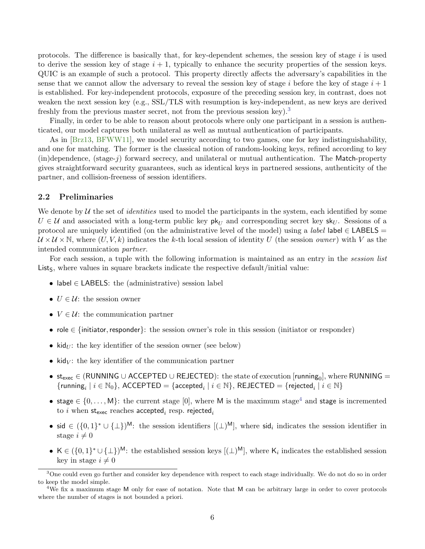<span id="page-5-3"></span>protocols. The difference is basically that, for key-dependent schemes, the session key of stage  $i$  is used to derive the session key of stage  $i + 1$ , typically to enhance the security properties of the session keys. QUIC is an example of such a protocol. This property directly affects the adversary's capabilities in the sense that we cannot allow the adversary to reveal the session key of stage i before the key of stage  $i + 1$ is established. For key-independent protocols, exposure of the preceding session key, in contrast, does not weaken the next session key (e.g., SSL/TLS with resumption is key-independent, as new keys are derived freshly from the previous master secret, not from the previous session key).<sup>[3](#page-5-1)</sup>

Finally, in order to be able to reason about protocols where only one participant in a session is authenticated, our model captures both unilateral as well as mutual authentication of participants.

As in [\[Brz13,](#page-24-1) [BFWW11\]](#page-24-2), we model security according to two games, one for key indistinguishability, and one for matching. The former is the classical notion of random-looking keys, refined according to key (in)dependence, (stage-j) forward secrecy, and unilateral or mutual authentication. The Match-property gives straightforward security guarantees, such as identical keys in partnered sessions, authenticity of the partner, and collision-freeness of session identifiers.

#### <span id="page-5-0"></span>2.2 Preliminaries

We denote by  $U$  the set of *identities* used to model the participants in the system, each identified by some  $U \in \mathcal{U}$  and associated with a long-term public key  $\mathsf{pk}_U$  and corresponding secret key  $\mathsf{sk}_U$ . Sessions of a protocol are uniquely identified (on the administrative level of the model) using a *label* label  $\in$  LABELS =  $U \times U \times \mathbb{N}$ , where  $(U, V, k)$  indicates the k-th local session of identity U (the session *owner*) with V as the intended communication partner.

For each session, a tuple with the following information is maintained as an entry in the *session list* List<sub>S</sub>, where values in square brackets indicate the respective default/initial value:

- label ∈ LABELS: the (administrative) session label
- $U \in \mathcal{U}$ : the session owner
- $V \in \mathcal{U}$ : the communication partner
- role  $\in$  {initiator, responder}: the session owner's role in this session (initiator or responder)
- kid<sub>U</sub>: the key identifier of the session owner (see below)
- kid<sub>V</sub>: the key identifier of the communication partner
- $st_{exec} \in (RUNNING \cup ACCEPTED \cup REJECTED):$  the state of execution  $[running_0],$  where  $RUNNING =$  $\{\mathsf{running}_i \mid i \in \mathbb{N}_0\},$  ACCEPTED =  $\{\mathsf{accepted}_i \mid i \in \mathbb{N}\},$  REJECTED =  $\{\mathsf{rejected}_i \mid i \in \mathbb{N}\}$
- stage  $\in \{0, \ldots, M\}$ : the current stage [0], where M is the maximum stage<sup>[4](#page-5-2)</sup> and stage is incremented to  $i$  when  $\mathsf{st}_\mathsf{exec}$  reaches accepted $_i$  resp. rejected $_i$
- sid  $\in (\{0,1\}^* \cup \{\perp\})^{\mathsf{M}}$ : the session identifiers  $[(\perp)^{\mathsf{M}}]$ , where sid<sub>i</sub> indicates the session identifier in stage  $i \neq 0$
- $K \in (\{0,1\}^* \cup \{\perp\})^M$ : the established session keys  $[(\perp)^M]$ , where  $K_i$  indicates the established session key in stage  $i \neq 0$

<span id="page-5-1"></span><sup>&</sup>lt;sup>3</sup>One could even go further and consider key dependence with respect to each stage individually. We do not do so in order to keep the model simple.

<span id="page-5-2"></span><sup>&</sup>lt;sup>4</sup>We fix a maximum stage M only for ease of notation. Note that M can be arbitrary large in order to cover protocols where the number of stages is not bounded a priori.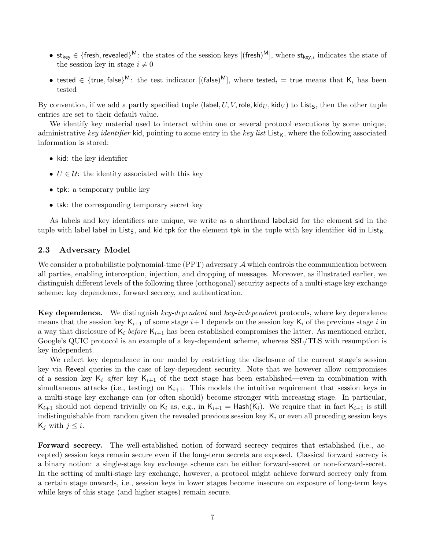- $st_{key} \in \{$  fresh, revealed  $\}^{M}$ : the states of the session keys  $[($  fresh $)^{M}$ , where  $st_{key,i}$  indicates the state of the session key in stage  $i \neq 0$
- tested  $\in$  {true, false}<sup>M</sup>: the test indicator [(false)<sup>M</sup>], where tested<sub>i</sub> = true means that K<sub>i</sub> has been tested

By convention, if we add a partly specified tuple (label, U, V, role, kid<sub>U</sub>, kid<sub>V</sub>) to List<sub>S</sub>, then the other tuple entries are set to their default value.

We identify key material used to interact within one or several protocol executions by some unique, administrative key identifier kid, pointing to some entry in the key list List<sub>K</sub>, where the following associated information is stored:

- kid: the key identifier
- $U \in \mathcal{U}$ : the identity associated with this key
- tpk: a temporary public key
- tsk: the corresponding temporary secret key

As labels and key identifiers are unique, we write as a shorthand label.sid for the element sid in the tuple with label label in List<sub>S</sub>, and kid.tpk for the element tpk in the tuple with key identifier kid in List<sub>K</sub>.

#### <span id="page-6-0"></span>2.3 Adversary Model

We consider a probabilistic polynomial-time (PPT) adversary  $A$  which controls the communication between all parties, enabling interception, injection, and dropping of messages. Moreover, as illustrated earlier, we distinguish different levels of the following three (orthogonal) security aspects of a multi-stage key exchange scheme: key dependence, forward secrecy, and authentication.

**Key dependence.** We distinguish key-dependent and key-independent protocols, where key dependence means that the session key  $K_{i+1}$  of some stage  $i+1$  depends on the session key  $K_i$  of the previous stage i in a way that disclosure of  $K_i$  before  $K_{i+1}$  has been established compromises the latter. As mentioned earlier, Google's QUIC protocol is an example of a key-dependent scheme, whereas SSL/TLS with resumption is key independent.

We reflect key dependence in our model by restricting the disclosure of the current stage's session key via Reveal queries in the case of key-dependent security. Note that we however allow compromises of a session key  $\mathsf{K}_i$  after key  $\mathsf{K}_{i+1}$  of the next stage has been established—even in combination with simultaneous attacks (i.e., testing) on  $K_{i+1}$ . This models the intuitive requirement that session keys in a multi-stage key exchange can (or often should) become stronger with increasing stage. In particular,  $K_{i+1}$  should not depend trivially on  $K_i$  as, e.g., in  $K_{i+1} =$  Hash $(K_i)$ . We require that in fact  $K_{i+1}$  is still indistinguishable from random given the revealed previous session key  $\mathsf{K}_i$  or even all preceding session keys  $\mathsf{K}_j$  with  $j \leq i$ .

Forward secrecy. The well-established notion of forward secrecy requires that established (i.e., accepted) session keys remain secure even if the long-term secrets are exposed. Classical forward secrecy is a binary notion: a single-stage key exchange scheme can be either forward-secret or non-forward-secret. In the setting of multi-stage key exchange, however, a protocol might achieve forward secrecy only from a certain stage onwards, i.e., session keys in lower stages become insecure on exposure of long-term keys while keys of this stage (and higher stages) remain secure.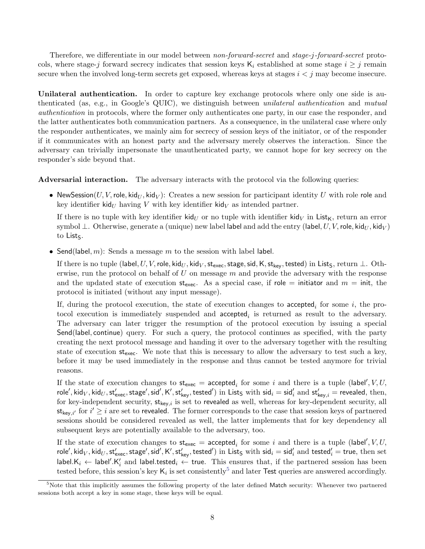Therefore, we differentiate in our model between non-forward-secret and stage-j-forward-secret protocols, where stage-j forward secrecy indicates that session keys  $\mathsf{K}_i$  established at some stage  $i \geq j$  remain secure when the involved long-term secrets get exposed, whereas keys at stages  $i < j$  may become insecure.

Unilateral authentication. In order to capture key exchange protocols where only one side is authenticated (as, e.g., in Google's QUIC), we distinguish between *unilateral authentication* and *mutual* authentication in protocols, where the former only authenticates one party, in our case the responder, and the latter authenticates both communication partners. As a consequence, in the unilateral case where only the responder authenticates, we mainly aim for secrecy of session keys of the initiator, or of the responder if it communicates with an honest party and the adversary merely observes the interaction. Since the adversary can trivially impersonate the unauthenticated party, we cannot hope for key secrecy on the responder's side beyond that.

Adversarial interaction. The adversary interacts with the protocol via the following queries:

• NewSession(U, V, role, kid<sub>U</sub>, kid<sub>V</sub>): Creates a new session for participant identity U with role role and key identifier kid<sub>U</sub> having V with key identifier kid<sub>V</sub> as intended partner.

If there is no tuple with key identifier kid<sub>U</sub> or no tuple with identifier kid<sub>V</sub> in List<sub>K</sub>, return an error symbol  $\perp$ . Otherwise, generate a (unique) new label label and add the entry (label, U, V, role, kid<sub>U</sub>, kid<sub>V</sub>) to Lists.

• Send(label,  $m$ ): Sends a message  $m$  to the session with label label.

If there is no tuple (label, U, V, role, kid<sub>U</sub>, kid<sub>V</sub>, st<sub>exec</sub>, stage, sid, K, st<sub>kev</sub>, tested) in List<sub>S</sub>, return ⊥. Otherwise, run the protocol on behalf of  $U$  on message  $m$  and provide the adversary with the response and the updated state of execution  $st_{exec}$ . As a special case, if role = initiator and  $m = \text{init}$ , the protocol is initiated (without any input message).

If, during the protocol execution, the state of execution changes to accepted<sub>i</sub> for some i, the protocol execution is immediately suspended and  ${bfed}_i$  is returned as result to the adversary. The adversary can later trigger the resumption of the protocol execution by issuing a special Send(label, continue) query. For such a query, the protocol continues as specified, with the party creating the next protocol message and handing it over to the adversary together with the resulting state of execution  $st_{\text{exec}}$ . We note that this is necessary to allow the adversary to test such a key, before it may be used immediately in the response and thus cannot be tested anymore for trivial reasons.

If the state of execution changes to  $st_{exec} = accepted_i$  for some i and there is a tuple (label', V, U,  $\mathsf{role}', \mathsf{kid}_V, \mathsf{kid}_U, \mathsf{st}'_\mathsf{exec}, \mathsf{stage}', \mathsf{sid}', \mathsf{K}', \mathsf{st}'_\mathsf{key}, \mathsf{tested}') \text{ in } \mathsf{List}_\mathsf{S} \text{ with } \mathsf{sid}_i = \mathsf{sid}'_i \text{ and } \mathsf{st}'_\mathsf{key,i} = \mathsf{revealed}, \text{ then,}$ for key-independent security,  $st_{key,i}$  is set to revealed as well, whereas for key-dependent security, all  $\mathsf{st}_{\mathsf{key},i'}$  for  $i' \geq i$  are set to revealed. The former corresponds to the case that session keys of partnered sessions should be considered revealed as well, the latter implements that for key dependency all subsequent keys are potentially available to the adversary, too.

If the state of execution changes to  $st_{exec} = accepted_i$  for some i and there is a tuple (label', V, U,  $\mathsf{role}', \mathsf{kid}_V, \mathsf{kid}_U, \mathsf{st}'_\mathsf{exec}, \mathsf{stage}', \mathsf{sid}', \mathsf{K}', \mathsf{st}'_\mathsf{key}, \mathsf{tested}') \text{ in } \mathsf{List}_\mathsf{S} \text{ with } \mathsf{sid}_i = \mathsf{sid}'_i \text{ and } \mathsf{tested}'_i = \mathsf{true}, \text{ then } \mathsf{set}$ label. $K_i \leftarrow$  label'. $K'_i$  and label.tested $_i \leftarrow$  true. This ensures that, if the partnered session has been tested before, this session's key  $\mathsf{K}_i$  is set consistently<sup>[5](#page-7-0)</sup> and later Test queries are answered accordingly.

<span id="page-7-0"></span> $5$ Note that this implicitly assumes the following property of the later defined Match security: Whenever two partnered sessions both accept a key in some stage, these keys will be equal.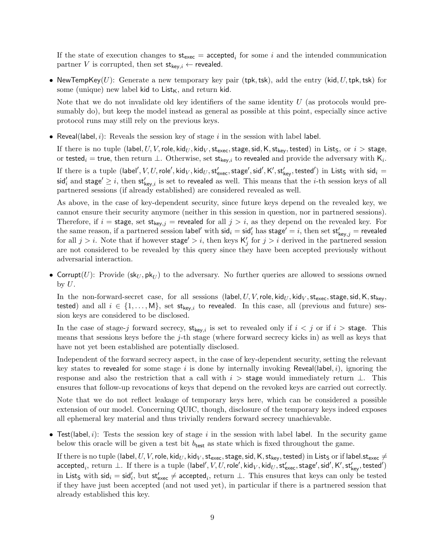If the state of execution changes to  $st_{exec}$  = accepted<sub>i</sub> for some i and the intended communication partner V is corrupted, then set  $st_{key,i} \leftarrow$  revealed.

• NewTempKey(U): Generate a new temporary key pair (tpk, tsk), add the entry (kid, U, tpk, tsk) for some (unique) new label kid to  $List_{K}$ , and return kid.

Note that we do not invalidate old key identifiers of the same identity  $U$  (as protocols would presumably do), but keep the model instead as general as possible at this point, especially since active protocol runs may still rely on the previous keys.

• Reveal(label, i): Reveals the session key of stage i in the session with label label.

If there is no tuple (label, U, V, role, kid<sub>U</sub>, kid<sub>V</sub>, st<sub>exec</sub>, stage, sid, K, st<sub>kev</sub>, tested) in List<sub>S</sub>, or  $i >$  stage, or tested<sub>i</sub> = true, then return  $\perp$ . Otherwise, set st<sub>key,i</sub> to revealed and provide the adversary with K<sub>i</sub>. If there is a tuple (label $',V,U,$ role $',$ kid $_V,$ kid $_U,$ st $'_{\sf{exec}},$ stage $',$ sid $',$ K $',$ st $'_{\sf{key}},$ tested $'$ ) in <code>List $_{\sf S}$ </code> with <code>sid $_{i}$   $=$ </code>  $\mathsf{sid}_i'$  and stage  $'\geq i$ , then  $\mathsf{st}_{\mathsf{key},i}'$  is set to revealed as well. This means that the *i*-th session keys of all partnered sessions (if already established) are considered revealed as well.

As above, in the case of key-dependent security, since future keys depend on the revealed key, we cannot ensure their security anymore (neither in this session in question, nor in partnered sessions). Therefore, if  $i =$  stage, set st<sub>key,j</sub> = revealed for all  $j > i$ , as they depend on the revealed key. For the same reason, if a partnered session label' with  $sid_i = sid'_i$  has  $stage' = i$ , then set  $st'_{key,j}$  = revealed for all  $j > i$ . Note that if however stage'  $> i$ , then keys  $\mathsf{K}'_j$  for  $j > i$  derived in the partnered session are not considered to be revealed by this query since they have been accepted previously without adversarial interaction.

• Corrupt(U): Provide  $(\mathsf{sk}_U, \mathsf{pk}_U)$  to the adversary. No further queries are allowed to sessions owned by  $U$ .

In the non-forward-secret case, for all sessions (label,  $U, V$ , role, kid $_U$ , kid $_V$ , st<sub>exec</sub>, stage, sid, K, st<sub>key</sub>, tested) and all  $i \in \{1, \ldots, M\}$ , set st<sub>key,i</sub> to revealed. In this case, all (previous and future) session keys are considered to be disclosed.

In the case of stage-j forward secrecy,  $st_{key,i}$  is set to revealed only if  $i < j$  or if  $i >$  stage. This means that sessions keys before the j-th stage (where forward secrecy kicks in) as well as keys that have not yet been established are potentially disclosed.

Independent of the forward secrecy aspect, in the case of key-dependent security, setting the relevant key states to revealed for some stage i is done by internally invoking Reveal(label, i), ignoring the response and also the restriction that a call with  $i >$  stage would immediately return  $\perp$ . This ensures that follow-up revocations of keys that depend on the revoked keys are carried out correctly.

Note that we do not reflect leakage of temporary keys here, which can be considered a possible extension of our model. Concerning QUIC, though, disclosure of the temporary keys indeed exposes all ephemeral key material and thus trivially renders forward secrecy unachievable.

• Test(label, i): Tests the session key of stage i in the session with label label. In the security game below this oracle will be given a test bit  $b_{test}$  as state which is fixed throughout the game.

If there is no tuple (label,  $U, V$ , role, kid $_U$ , kid $_V$ , st<sub>exec</sub>, stage, sid, K, st<sub>key</sub>, tested) in List<sub>S</sub> or if label.st<sub>exec</sub>  $\neq$  $\mathsf{accepted}_i, \ \mathsf{return} \ \bot. \ \ \text{If there is a tuple } (\mathsf{label}', V, U, \mathsf{role}', \mathsf{kid}_V, \mathsf{kid}_U, \mathsf{st}'_\mathsf{exec}, \mathsf{stage}', \mathsf{sid}', \mathsf{K}', \mathsf{st}'_\mathsf{key}, \mathsf{tested}')$ in List<sub>S</sub> with  $\mathsf{sid}_i = \mathsf{sid}'_i,$  but  $\mathsf{st}'_\mathsf{exec} \neq \mathsf{accepted}_i$ , return  $\bot.$  This ensures that keys can only be tested if they have just been accepted (and not used yet), in particular if there is a partnered session that already established this key.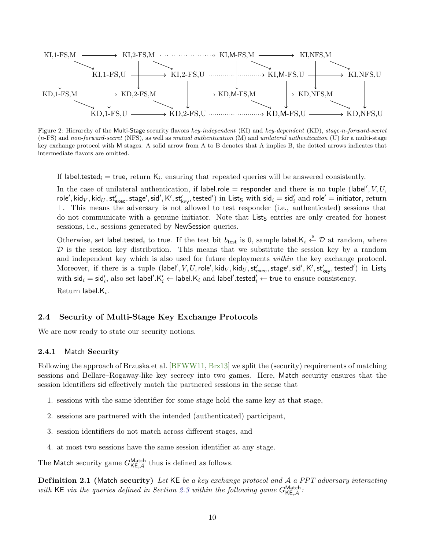<span id="page-9-3"></span><span id="page-9-2"></span>

Figure 2: Hierarchy of the Multi-Stage security flavors key-independent (KI) and key-dependent (KD), stage-n-forward-secret  $(n-FS)$  and non-forward-secret (NFS), as well as mutual authentication  $(M)$  and unilateral authentication  $(U)$  for a multi-stage key exchange protocol with M stages. A solid arrow from A to B denotes that A implies B, the dotted arrows indicates that intermediate flavors are omitted.

If label.tested<sub>i</sub> = true, return  $\mathsf{K}_i$ , ensuring that repeated queries will be answered consistently.

In the case of unilateral authentication, if label.role = responder and there is no tuple (label',  $V, U$ , role $',$  kid $_V$ , kid $_U,$  st $'_{\sf exec}$ , stage $',$  sid $',$  K $',$  st $'_{\sf key},$  tested $')$  in <code>List</code>s with <code>sid</code> $_i =$  sid $'_i$  and <code>role $' =$  initiator</code>, <code>return</code> ⊥. This means the adversary is not allowed to test responder (i.e., authenticated) sessions that do not communicate with a genuine initiator. Note that List<sub>s</sub> entries are only created for honest sessions, i.e., sessions generated by NewSession queries.

Otherwise, set label.tested<sub>i</sub> to true. If the test bit  $b_{test}$  is 0, sample label. $K_i \stackrel{\$}{\leftarrow} \mathcal{D}$  at random, where  $D$  is the session key distribution. This means that we substitute the session key by a random and independent key which is also used for future deployments within the key exchange protocol.  $\rm Moreover,\,\,if\,\,there\,\,is\,\,a\,\,tuple\,\, (label',V,U,role',kid_V, kid_U, st'_{exec}, stage', sid', K', st'_{key}, tested')\,\,in\,\,List'_{S}$ with  $\mathsf{sid}_i = \mathsf{sid}_i',$  also set label $'\mathsf{.} \mathsf{K}_i' \leftarrow$  label. $\mathsf{K}_i$  and label $'.\mathsf{tested}_i' \leftarrow \mathsf{true}$  to ensure consistency.  $\operatorname{Return }$  label. $\mathsf{K}_i$ .

## <span id="page-9-0"></span>2.4 Security of Multi-Stage Key Exchange Protocols

We are now ready to state our security notions.

### <span id="page-9-1"></span>2.4.1 Match Security

Following the approach of Brzuska et al. [\[BFWW11,](#page-24-2) [Brz13\]](#page-24-1) we split the (security) requirements of matching sessions and Bellare–Rogaway-like key secrecy into two games. Here, Match security ensures that the session identifiers sid effectively match the partnered sessions in the sense that

- 1. sessions with the same identifier for some stage hold the same key at that stage,
- 2. sessions are partnered with the intended (authenticated) participant,
- 3. session identifiers do not match across different stages, and
- 4. at most two sessions have the same session identifier at any stage.

The Match security game  $G_{\mathsf{KE},\mathcal{A}}^{\mathsf{Match}}$  thus is defined as follows.

**Definition 2.1 (Match security)** Let KE be a key exchange protocol and  $A$  a PPT adversary interacting with KE via the queries defined in Section [2.3](#page-6-0) within the following game  $G_{\text{KE},\mathcal{A}}^{\text{Match}}$ :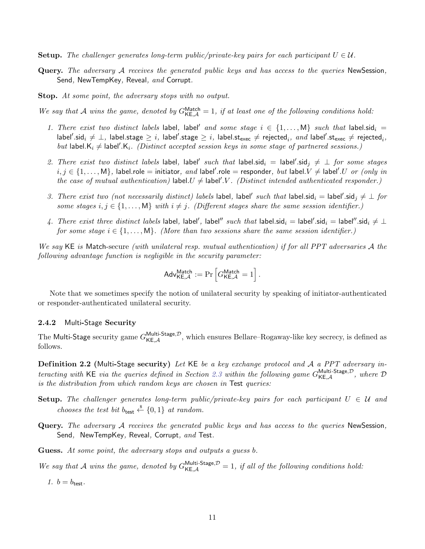- **Setup.** The challenger generates long-term public/private-key pairs for each participant  $U \in \mathcal{U}$ .
- Query. The adversary A receives the generated public keys and has access to the queries NewSession, Send, NewTempKey, Reveal, and Corrupt.
- Stop. At some point, the adversary stops with no output.

We say that A wins the game, denoted by  $G_{\text{KE},\mathcal{A}}^{\text{Match}} = 1$ , if at least one of the following conditions hold:

- 1. There exist two distinct labels label, label' and some stage  $i \in \{1, \ldots, M\}$  such that label.sid $_i =$ label $'.\mathsf{sid}_i\neq \bot,$  label.stage  $\geq i,$  label $'.\mathsf{stage}\geq i,$  label.st $_{\mathsf{exec}}\neq \mathsf{rejected}_i,$   $and$  label $'.\mathsf{st}_{\mathsf{exec}}\neq \mathsf{rejected}_i,$ but label. $K_i \neq$  label'. $K_i$ . (Distinct accepted session keys in some stage of partnered sessions.)
- 2. There exist two distinct labels label, label' such that label.sid<sub>i</sub> = label'.sid<sub>j</sub>  $\neq \perp$  for some stages  $i,j\in\{1,\ldots,\mathsf{M}\},$  label.role  $=$  initiator,  $\it{and}$  label $'.\mathsf{role} =$  responder,  $\it{but}$  label. $\dot{V}\neq$  label $'.U$   $\it{or}$   $(\it{only}\; \it{in}$ the case of mutual authentication)  $\text{label.} U \neq \text{label'.} V$ . (Distinct intended authenticated responder.)
- 3. There exist two (not necessarily distinct) labels label, label' such that label.sid<sub>i</sub> = label'.sid<sub>j</sub>  $\neq \perp$  for some stages  $i, j \in \{1, ..., M\}$  with  $i \neq j$ . (Different stages share the same session identifier.)
- 4. There exist three distinct labels label, label', label'' such that label.sid<sub>i</sub> = label'.sid<sub>i</sub> = label''.sid<sub>i</sub>  $\neq \bot$ for some stage  $i \in \{1, \ldots, M\}$ . (More than two sessions share the same session identifier.)

We say KE is Match-secure (with unilateral resp. mutual authentication) if for all PPT adversaries  $\mathcal{A}$  the following advantage function is negligible in the security parameter:

$$
\mathsf{Adv}_{\mathsf{KE},\mathcal{A}}^{\mathsf{Match}} := \Pr\left[G_{\mathsf{KE},\mathcal{A}}^{\mathsf{Match}} = 1\right].
$$

Note that we sometimes specify the notion of unilateral security by speaking of initiator-authenticated or responder-authenticated unilateral security.

#### <span id="page-10-0"></span>2.4.2 Multi-Stage Security

The Multi-Stage security game  $G_{\mathsf{KF}\ \mathsf{A}}^{\mathsf{Multi-Stage},\mathcal{D}}$  $K_{\mathsf{K}, \mathcal{A}}^{\text{Multi-Stage}, \nu}$ , which ensures Bellare–Rogaway-like key secrecy, is defined as follows.

<span id="page-10-1"></span>**Definition 2.2 (Multi-Stage security)** Let KE be a key exchange protocol and  $A$  a PPT adversary in-teracting with KE via the queries defined in Section [2.3](#page-6-0) within the following game  $G_{\text{KE A}}^{\text{Multi-Stage, D}}$  $\mathsf{K}\mathsf{E}, \mathcal{A}$  where  $\mathcal{D}$ is the distribution from which random keys are chosen in Test queries:

- **Setup.** The challenger generates long-term public/private-key pairs for each participant  $U \in \mathcal{U}$  and chooses the test bit b<sub>test</sub>  $\xi$  {0, 1} at random.
- Query. The adversary A receives the generated public keys and has access to the queries NewSession, Send, NewTempKey, Reveal, Corrupt, and Test.

Guess. At some point, the adversary stops and outputs a quess b.

We say that A wins the game, denoted by  $G_{\mathsf{KE},\mathcal{A}}^{\mathsf{Multi-Stage},\mathcal{D}}=1$ , if all of the following conditions hold:

1.  $b = b_{\text{test}}$ .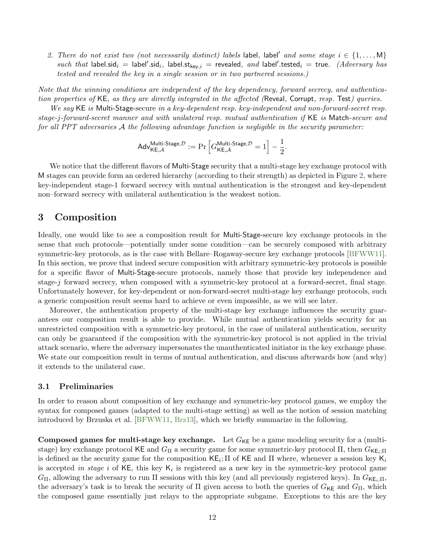<span id="page-11-3"></span><span id="page-11-2"></span>2. There do not exist two (not necessarily distinct) labels label, label' and some stage  $i \in \{1, \ldots, M\}$ such that label.sid<sub>i</sub> = label'.sid<sub>i</sub>, label.st<sub>key,i</sub> = revealed, and label'.tested<sub>i</sub> = true. (Adversary has tested and revealed the key in a single session or in two partnered sessions.)

Note that the winning conditions are independent of the key dependency, forward secrecy, and authentication properties of KE, as they are directly integrated in the affected (Reveal, Corrupt, resp. Test) queries.

We say KE is Multi-Stage-secure in a key-dependent resp. key-independent and non-forward-secret resp. stage-j-forward-secret manner and with unilateral resp. mutual authentication if KE is Match-secure and for all PPT adversaries A the following advantage function is negligible in the security parameter:

$$
\mathsf{Adv}_{\mathsf{KE}, \mathcal{A}}^{\mathsf{Multi-Stage}, \mathcal{D}} := \Pr\Big[G_{\mathsf{KE}, \mathcal{A}}^{\mathsf{Multi-Stage}, \mathcal{D}} = 1\Big]-\frac{1}{2}.
$$

We notice that the different flavors of Multi-Stage security that a multi-stage key exchange protocol with M stages can provide form an ordered hierarchy (according to their strength) as depicted in Figure [2,](#page-9-2) where key-independent stage-1 forward secrecy with mutual authentication is the strongest and key-dependent non–forward secrecy with unilateral authentication is the weakest notion.

# <span id="page-11-0"></span>3 Composition

Ideally, one would like to see a composition result for Multi-Stage-secure key exchange protocols in the sense that such protocols—potentially under some condition—can be securely composed with arbitrary symmetric-key protocols, as is the case with Bellare–Rogaway-secure key exchange protocols [\[BFWW11\]](#page-24-2). In this section, we prove that indeed secure composition with arbitrary symmetric-key protocols is possible for a specific flavor of Multi-Stage-secure protocols, namely those that provide key independence and stage-j forward secrecy, when composed with a symmetric-key protocol at a forward-secret, final stage. Unfortunately however, for key-dependent or non-forward-secret multi-stage key exchange protocols, such a generic composition result seems hard to achieve or even impossible, as we will see later.

Moreover, the authentication property of the multi-stage key exchange influences the security guarantees our composition result is able to provide. While mutual authentication yields security for an unrestricted composition with a symmetric-key protocol, in the case of unilateral authentication, security can only be guaranteed if the composition with the symmetric-key protocol is not applied in the trivial attack scenario, where the adversary impersonates the unauthenticated initiator in the key exchange phase. We state our composition result in terms of mutual authentication, and discuss afterwards how (and why) it extends to the unilateral case.

### <span id="page-11-1"></span>3.1 Preliminaries

In order to reason about composition of key exchange and symmetric-key protocol games, we employ the syntax for composed games (adapted to the multi-stage setting) as well as the notion of session matching introduced by Brzuska et al. [\[BFWW11,](#page-24-2) [Brz13\]](#page-24-1), which we briefly summarize in the following.

**Composed games for multi-stage key exchange.** Let  $G_{KE}$  be a game modeling security for a (multistage) key exchange protocol KE and  $G_{\Pi}$  a security game for some symmetric-key protocol  $\Pi$ , then  $G_{\mathsf{KE}_i;\Pi}$ is defined as the security game for the composition  $KE_i$ ;  $\Pi$  of  $KE$  and  $\Pi$  where, whenever a session key  $K_i$ is accepted in stage i of  $KE$ , this key  $K_i$  is registered as a new key in the symmetric-key protocol game  $G_{\Pi}$ , allowing the adversary to run  $\Pi$  sessions with this key (and all previously registered keys). In  $G_{\mathsf{KE}_i;\Pi}$ , the adversary's task is to break the security of  $\Pi$  given access to both the queries of  $G_{\mathsf{KE}}$  and  $G_{\Pi}$ , which the composed game essentially just relays to the appropriate subgame. Exceptions to this are the key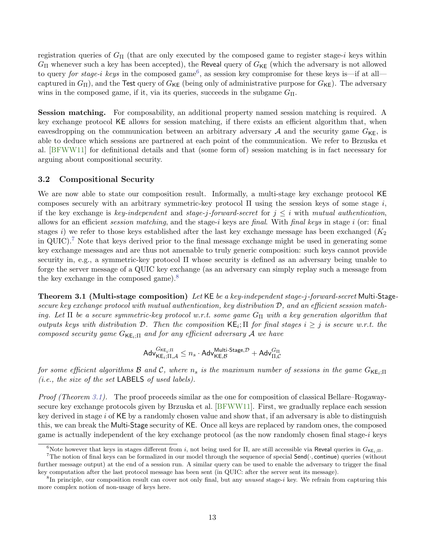<span id="page-12-5"></span>registration queries of  $G_{\Pi}$  (that are only executed by the composed game to register stage-i keys within  $G_{\Pi}$  whenever such a key has been accepted), the Reveal query of  $G_{KE}$  (which the adversary is not allowed to query *for stage-i keys* in the composed game<sup>[6](#page-12-1)</sup>, as session key compromise for these keys is—if at all captured in  $G_{\Pi}$ ), and the Test query of  $G_{\text{KE}}$  (being only of administrative purpose for  $G_{\text{KE}}$ ). The adversary wins in the composed game, if it, via its queries, succeeds in the subgame  $G_{\Pi}$ .

**Session matching.** For composability, an additional property named session matching is required. A key exchange protocol KE allows for session matching, if there exists an efficient algorithm that, when eavesdropping on the communication between an arbitrary adversary  $A$  and the security game  $G_{\text{KE}}$ , is able to deduce which sessions are partnered at each point of the communication. We refer to Brzuska et al. [\[BFWW11\]](#page-24-2) for definitional details and that (some form of) session matching is in fact necessary for arguing about compositional security.

### <span id="page-12-0"></span>3.2 Compositional Security

We are now able to state our composition result. Informally, a multi-stage key exchange protocol KE composes securely with an arbitrary symmetric-key protocol  $\Pi$  using the session keys of some stage i, if the key exchange is key-independent and stage-j-forward-secret for  $j \leq i$  with mutual authentication, allows for an efficient *session matching*, and the stage-i keys are *final*. With *final keys* in stage i (or: final stages i) we refer to those keys established after the last key exchange message has been exchanged  $(K_2)$ in QUIC).<sup>[7](#page-12-2)</sup> Note that keys derived prior to the final message exchange might be used in generating some key exchange messages and are thus not amenable to truly generic composition: such keys cannot provide security in, e.g., a symmetric-key protocol Π whose security is defined as an adversary being unable to forge the server message of a QUIC key exchange (as an adversary can simply replay such a message from the key exchange in the composed game).<sup>[8](#page-12-3)</sup>

<span id="page-12-4"></span>Theorem 3.1 (Multi-stage composition) Let KE be a key-independent stage-j-forward-secret Multi-Stagesecure key exchange protocol with mutual authentication, key distribution  $D$ , and an efficient session matching. Let  $\Pi$  be a secure symmetric-key protocol w.r.t. some game  $G_{\Pi}$  with a key generation algorithm that outputs keys with distribution  $D$ . Then the composition  $KE_i$ ;  $\Pi$  for final stages  $i \geq j$  is secure w.r.t. the composed security game  $G_{\mathsf{KE}_i;\Pi}$  and for any efficient adversary A we have

$$
\mathsf{Adv}_{\mathsf{KE}_i;\Pi,\mathcal{A}}^{G_{\mathsf{KE}_i;\Pi}} \leq n_s \cdot \mathsf{Adv}_{\mathsf{KE},\mathcal{B}}^{\mathsf{Multi\text{-}Stage},\mathcal{D}} + \mathsf{Adv}_{\Pi,\mathcal{C}}^{G_\Pi}
$$

for some efficient algorithms B and C, where  $n_s$  is the maximum number of sessions in the game  $G_{\mathsf{KE}}$ ; (*i.e.*, the size of the set LABELS of used labels).

*Proof (Theorem [3.1\)](#page-12-4).* The proof proceeds similar as the one for composition of classical Bellare–Rogawaysecure key exchange protocols given by Brzuska et al. [\[BFWW11\]](#page-24-2). First, we gradually replace each session key derived in stage i of  $KE$  by a randomly chosen value and show that, if an adversary is able to distinguish this, we can break the Multi-Stage security of KE. Once all keys are replaced by random ones, the composed game is actually independent of the key exchange protocol (as the now randomly chosen final stage-i keys

<span id="page-12-2"></span><span id="page-12-1"></span><sup>&</sup>lt;sup>6</sup>Note however that keys in stages different from i, not being used for  $\Pi$ , are still accessible via Reveal queries in  $G_{\mathsf{KE}}$ .

<sup>&</sup>lt;sup>7</sup>The notion of final keys can be formalized in our model through the sequence of special Send( $\cdot$ , continue) queries (without further message output) at the end of a session run. A similar query can be used to enable the adversary to trigger the final key computation after the last protocol message has been sent (in QUIC: after the server sent its message).

<span id="page-12-3"></span><sup>&</sup>lt;sup>8</sup>In principle, our composition result can cover not only final, but any unused stage-i key. We refrain from capturing this more complex notion of non-usage of keys here.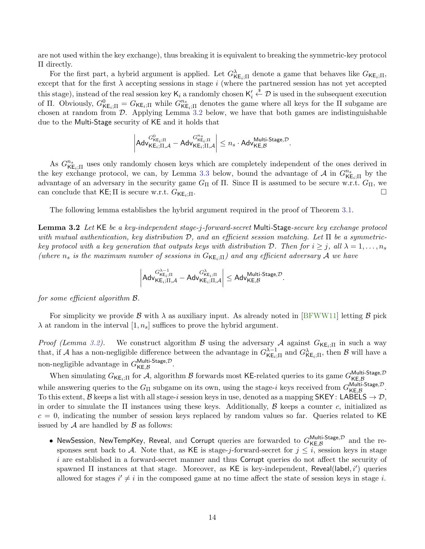<span id="page-13-1"></span>are not used within the key exchange), thus breaking it is equivalent to breaking the symmetric-key protocol Π directly.

For the first part, a hybrid argument is applied. Let  $G_{\mathsf{KE}_i;\Pi}^{\lambda}$  denote a game that behaves like  $G_{\mathsf{KE}_i;\Pi}$ , except that for the first  $\lambda$  accepting sessions in stage i (where the partnered session has not yet accepted this stage), instead of the real session key  $\mathsf{K}_i$  a randomly chosen  $\mathsf{K}'_i \overset{\hspace{0.1em}\mathsf{\scriptscriptstyle\$}}{\leftarrow} \mathcal{D}$  is used in the subsequent execution of Π. Obviously,  $G_{\mathsf{KE}_i;\Pi}^0 = G_{\mathsf{KE}_i;\Pi}$  while  $G_{\mathsf{KE}_i;\Pi}^{n_s}$  denotes the game where all keys for the Π subgame are chosen at random from  $\mathcal{D}$ . Applying Lemma [3.2](#page-13-0) below, we have that both games are indistinguishable due to the Multi-Stage security of KE and it holds that

$$
\left|\mathsf{Adv}_{\mathsf{KE}_{i};\Pi,\mathcal{A}}^{G^0_{\mathsf{KE}_{i};\Pi}}-\mathsf{Adv}_{\mathsf{KE}_{i};\Pi,\mathcal{A}}^{G^{\mathsf{R}\varepsilon}_{\mathsf{KE}_{i};\Pi}}\right|\leq n_s\cdot\mathsf{Adv}_{\mathsf{KE},\mathcal{B}}^{\mathsf{Multi\text{-}Stage},\mathcal{D}}.
$$

As  $G_{\text{KE}_i;\Pi}^{n_s}$  uses only randomly chosen keys which are completely independent of the ones derived in the key exchange protocol, we can, by Lemma [3.3](#page-14-0) below, bound the advantage of A in  $G^{n_s}_{\mathsf{KE}_i;\Pi}$  by the advantage of an adversary in the security game  $G_{\Pi}$  of  $\Pi$ . Since  $\Pi$  is assumed to be secure w.r.t.  $G_{\Pi}$ , we can conclude that  $KE$ ;  $\Pi$  is secure w.r.t.  $G_{KE_i;\Pi}$ .

The following lemma establishes the hybrid argument required in the proof of Theorem [3.1.](#page-12-4)

<span id="page-13-0"></span>**Lemma 3.2** Let KE be a key-independent stage-j-forward-secret Multi-Stage-secure key exchange protocol with mutual authentication, key distribution  $\mathcal{D}$ , and an efficient session matching. Let  $\Pi$  be a symmetrickey protocol with a key generation that outputs keys with distribution  $D$ . Then for  $i \geq j$ , all  $\lambda = 1, \ldots, n_s$ (where  $n_s$  is the maximum number of sessions in  $G_{\mathsf{KE}_i;\Pi}$ ) and any efficient adversary A we have

$$
\left|\mathsf{Adv}_{\mathsf{KE}_{i};\Pi,\mathcal{A}}^{G_{\mathsf{KE}_{i};\Pi}^{\lambda-1}}-\mathsf{Adv}_{\mathsf{KE}_{i};\Pi,\mathcal{A}}^{G_{\mathsf{KE}_{i};\Pi}^{\lambda}}\right|\leq \mathsf{Adv}_{\mathsf{KE},\mathcal{B}}^{\mathsf{Multi\text{-}Stage},\mathcal{D}}.
$$

for some efficient algorithm B.

For simplicity we provide B with  $\lambda$  as auxiliary input. As already noted in [\[BFWW11\]](#page-24-2) letting B pick  $\lambda$  at random in the interval  $[1, n_s]$  suffices to prove the hybrid argument.

*Proof (Lemma [3.2\)](#page-13-0).* We construct algorithm B using the adversary A against  $G_{\mathsf{KE}_i;\Pi}$  in such a way that, if A has a non-negligible difference between the advantage in  $G^{\lambda-1}_{\mathsf{KE}_i;\Pi}$  and  $G^{\lambda}_{\mathsf{KE}_i;\Pi}$ , then B will have a non-negligible advantage in  $G_{\mathsf{KE} \mid \mathcal{B}}^{\mathsf{Multi-Stage}, \mathcal{D}}$ мин-этаде, $\nu$ <br>КЕ, $\beta$ 

When simulating  $G_{\mathsf{KE}_i;\Pi}$  for A, algorithm B forwards most KE-related queries to its game  $G_{\mathsf{KE},\mathcal{B}}^{\mathsf{Multi\text{-}Stage},\mathcal{D}}$  $KE, B$ while answering queries to the  $G_{\Pi}$  subgame on its own, using the stage-*i* keys received from  $G_{KE,B}^{\text{Multi-Stage}, \mathcal{D}}$ мин-этаде, $\nu$ <br>КЕ, $\beta$ To this extent, B keeps a list with all stage-i session keys in use, denoted as a mapping SKEY: LABELS  $\rightarrow \mathcal{D}$ , in order to simulate the  $\Pi$  instances using these keys. Additionally,  $\beta$  keeps a counter c, initialized as  $c = 0$ , indicating the number of session keys replaced by random values so far. Queries related to KE issued by  $A$  are handled by  $B$  as follows:

• NewSession, NewTempKey, Reveal, and Corrupt queries are forwarded to  $G_{\mathsf{KF}\, \mathcal{B}}^{\mathsf{Multi\text{-}Stage},\mathcal{D}}$  $KE, B$  and the responses sent back to A. Note that, as KE is stage-j-forward-secret for  $j \leq i$ , session keys in stage i are established in a forward-secret manner and thus Corrupt queries do not affect the security of spawned  $\Pi$  instances at that stage. Moreover, as KE is key-independent, Reveal(label,  $i'$ ) queries allowed for stages  $i' \neq i$  in the composed game at no time affect the state of session keys in stage i.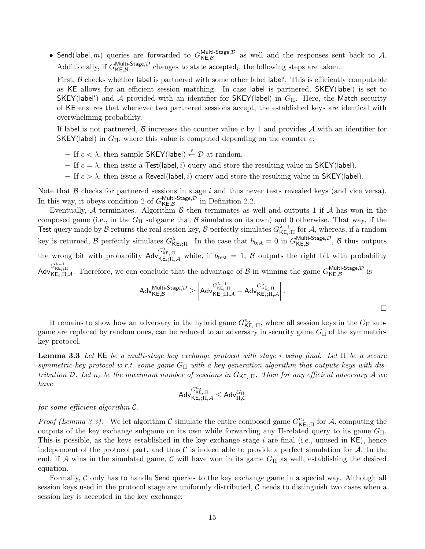• Send(label, m) queries are forwarded to  $G_{\kappa F R}^{Multi\text{-}Stage, D}$  $K_{\mathsf{R},\mathcal{B}}^{\text{Multi-stage},\nu}$  as well and the responses sent back to A. Additionally, if  $G_{\mathsf{KF}\ \mathcal{B}}^{\mathsf{Multi\text{-}Stage},\mathcal{D}}$  $K_{\mathsf{R},\mathcal{B}}^{\text{Multi-stage},D}$  changes to state accepted<sub>i</sub>, the following steps are taken.

First,  $\beta$  checks whether label is partnered with some other label label'. This is efficiently computable as KE allows for an efficient session matching. In case label is partnered, SKEY(label) is set to SKEY(label') and A provided with an identifier for SKEY(label) in  $G_{\Pi}$ . Here, the Match security of KE ensures that whenever two partnered sessions accept, the established keys are identical with overwhelming probability.

If label is not partnered,  $\beta$  increases the counter value c by 1 and provides  $\mathcal A$  with an identifier for SKEY(label) in  $G_{\Pi}$ , where this value is computed depending on the counter c:

- $-$  If *c* < λ, then sample SKEY(label) ←  $\mathcal{D}$  at random.
- If  $c = \lambda$ , then issue a Test(label, i) query and store the resulting value in SKEY(label).
- If  $c > \lambda$ , then issue a Reveal(label, i) query and store the resulting value in SKEY(label).

Note that  $\beta$  checks for partnered sessions in stage i and thus never tests revealed keys (and vice versa). In this way, it obeys condition [2](#page-11-2) of  $G_{\mathsf{KE} B}^{\mathsf{Multi\text{-}Stage},\mathcal{D}}$  $KE, B$  in Definition [2.2.](#page-10-1)

Eventually,  $A$  terminates. Algorithm  $B$  then terminates as well and outputs 1 if  $A$  has won in the composed game (i.e., in the  $G_{\Pi}$  subgame that  $\beta$  simulates on its own) and 0 otherwise. That way, if the Test query made by  $\beta$  returns the real session key,  $\beta$  perfectly simulates  $G_{\mathsf{KE}_i;\Pi}^{\lambda-1}$  for  $\mathcal{A}$ , whereas, if a random key is returned,  $\beta$  perfectly simulates  $G_{\mathsf{KE}_i;\Pi}^{\lambda}$ . In the case that  $b_{\mathsf{test}} = 0$  in  $G_{\mathsf{KE},\beta}^{\mathsf{Multi\text{-}Stage},\mathcal{D}}$  $KE, B$   $KE$ ,  $B$  thus outputs the wrong bit with probability  $\mathsf{Adv}_{\mathsf{KE}_i;\Pi,\mathcal{A}}^{G_{\mathsf{KE}_i;\Pi}^{\lambda}$  while, if  $b_{\mathsf{test}} = 1, \mathcal{B}$  outputs the right bit with probability  $\mathsf{Adv}_{\mathsf{KE}_i;\Pi,\mathcal{A}}^{G_{\mathsf{KE}_i;\Pi}^{\lambda-1}$ . Therefore, we can conclude that the advantage of  $\mathcal{B}$  in winning the game  $G_{\mathsf{KE},\mathcal{B}}^{\mathsf{Multi-Stage},\mathcal{D}}$  $\mathsf{KE}, \mathcal{B}$  is

$$
\mathsf{Adv}_{\mathsf{KE}, \mathcal{B}}^{\mathsf{Multi\text{-}Stage}, \mathcal{D}} \geq \left\vert \mathsf{Adv}_{\mathsf{KE}_i; \Pi, \mathcal{A}}^{\mathsf{G}^{\lambda-1}_{\mathsf{KE}_i; \Pi}} - \mathsf{Adv}_{\mathsf{KE}_i; \Pi, \mathcal{A}}^{\mathsf{G}^{\lambda}_{\mathsf{KE}_i; \Pi}} \right\vert.
$$

 $\Box$ 

It remains to show how an adversary in the hybrid game  $G^{n_s}_{\mathsf{KE}_i;\Pi}$ , where all session keys in the  $G_{\Pi}$  subgame are replaced by random ones, can be reduced to an adversary in security game  $G<sub>II</sub>$  of the symmetrickey protocol.

<span id="page-14-0"></span>**Lemma 3.3** Let KE be a multi-stage key exchange protocol with stage i being final. Let  $\Pi$  be a secure symmetric-key protocol w.r.t. some game  $G_{\Pi}$  with a key generation algorithm that outputs keys with distribution D. Let  $n_s$  be the maximum number of sessions in  $G_{\mathsf{KE}_i;\Pi}$ . Then for any efficient adversary A we have

$$
\mathsf{Adv}^{G^{n_s}_{\mathsf{KE}_i;\Pi}}_{\mathsf{KE}_i;\Pi,\mathcal{A}} \leq \mathsf{Adv}^{G_{\Pi}}_{\Pi,\mathcal{C}}
$$

for some efficient algorithm  $\mathcal{C}.$ 

Proof (Lemma [3.3\)](#page-14-0). We let algorithm C simulate the entire composed game  $G_{\mathsf{KE}_i;\Pi}^{n_s}$  for A, computing the outputs of the key exchange subgame on its own while forwarding any  $\Pi$ -related query to its game  $G_{\Pi}$ . This is possible, as the keys established in the key exchange stage i are final (i.e., unused in  $KE$ ), hence independent of the protocol part, and thus C is indeed able to provide a perfect simulation for  $\mathcal{A}$ . In the end, if A wins in the simulated game, C will have won in its game  $G_{\Pi}$  as well, establishing the desired equation.

Formally,  $\mathcal C$  only has to handle Send queries to the key exchange game in a special way. Although all session keys used in the protocol stage are uniformly distributed,  $\mathcal C$  needs to distinguish two cases when a session key is accepted in the key exchange: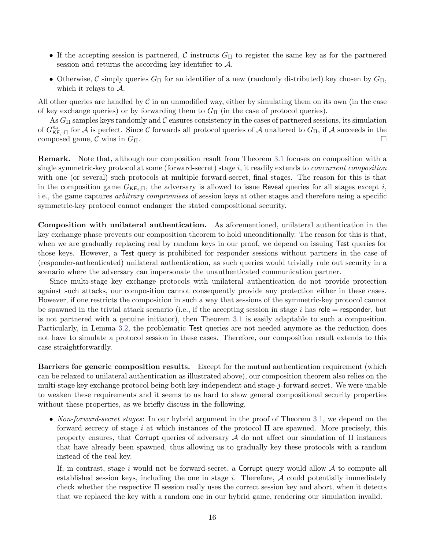- If the accepting session is partnered, C instructs  $G_{\Pi}$  to register the same key as for the partnered session and returns the according key identifier to A.
- Otherwise, C simply queries  $G_{\Pi}$  for an identifier of a new (randomly distributed) key chosen by  $G_{\Pi}$ , which it relays to  $A$ .

All other queries are handled by  $C$  in an unmodified way, either by simulating them on its own (in the case of key exchange queries) or by forwarding them to  $G_{\Pi}$  (in the case of protocol queries).

As  $G_{\Pi}$  samples keys randomly and C ensures consistency in the cases of partnered sessions, its simulation of  $G^{n_s}_{\mathsf{KE}_i;\Pi}$  for A is perfect. Since C forwards all protocol queries of A unaltered to  $G_{\Pi}$ , if A succeeds in the composed game, C wins in  $G_{\Pi}$ .

Remark. Note that, although our composition result from Theorem [3.1](#page-12-4) focuses on composition with a single symmetric-key protocol at some (forward-secret) stage  $i$ , it readily extends to *concurrent composition* with one (or several) such protocols at multiple forward-secret, final stages. The reason for this is that in the composition game  $G_{\text{KE}:II}$ , the adversary is allowed to issue Reveal queries for all stages except i, i.e., the game captures arbitrary compromises of session keys at other stages and therefore using a specific symmetric-key protocol cannot endanger the stated compositional security.

Composition with unilateral authentication. As aforementioned, unilateral authentication in the key exchange phase prevents our composition theorem to hold unconditionally. The reason for this is that, when we are gradually replacing real by random keys in our proof, we depend on issuing Test queries for those keys. However, a Test query is prohibited for responder sessions without partners in the case of (responder-authenticated) unilateral authentication, as such queries would trivially rule out security in a scenario where the adversary can impersonate the unauthenticated communication partner.

Since multi-stage key exchange protocols with unilateral authentication do not provide protection against such attacks, our composition cannot consequently provide any protection either in these cases. However, if one restricts the composition in such a way that sessions of the symmetric-key protocol cannot be spawned in the trivial attack scenario (i.e., if the accepting session in stage i has role = responder, but is not partnered with a genuine initiator), then Theorem [3.1](#page-12-4) is easily adaptable to such a composition. Particularly, in Lemma [3.2,](#page-13-0) the problematic Test queries are not needed anymore as the reduction does not have to simulate a protocol session in these cases. Therefore, our composition result extends to this case straightforwardly.

Barriers for generic composition results. Except for the mutual authentication requirement (which can be relaxed to unilateral authentication as illustrated above), our composition theorem also relies on the multi-stage key exchange protocol being both key-independent and stage-j-forward-secret. We were unable to weaken these requirements and it seems to us hard to show general compositional security properties without these properties, as we briefly discuss in the following.

• Non-forward-secret stages: In our hybrid argument in the proof of Theorem [3.1,](#page-12-4) we depend on the forward secrecy of stage i at which instances of the protocol  $\Pi$  are spawned. More precisely, this property ensures, that Corrupt queries of adversary  $\mathcal A$  do not affect our simulation of  $\Pi$  instances that have already been spawned, thus allowing us to gradually key these protocols with a random instead of the real key.

If, in contrast, stage i would not be forward-secret, a Corrupt query would allow  $A$  to compute all established session keys, including the one in stage i. Therefore,  $A$  could potentially immediately check whether the respective Π session really uses the correct session key and abort, when it detects that we replaced the key with a random one in our hybrid game, rendering our simulation invalid.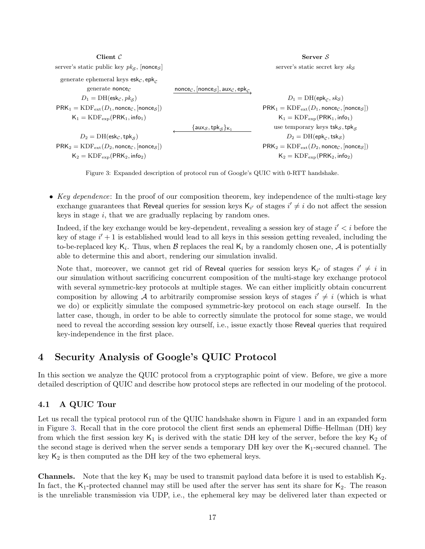<span id="page-16-2"></span>Client  $C$  Server  $S$ server's static public key  $pk_S$ , [nonces] server's static secret key  $sk_S$ generate ephemeral keys esk $c$ , epk $c$ generate nonce $<sub>c</sub>$ </sub>  $D_1 = DH(\mathsf{esk}_\mathcal{C}, \mathit{pk}_\mathcal{S})$  $D_1 = DH(\text{epk}_c, sk_S)$  $PRK_1 = KDF_{ext}(D_1, \text{nonce}_C, [\text{nonces}])$   $PRK_1 = KDF_{ext}(D_1, \text{nonce}_C, [\text{nonces}])$  $K_1 = \text{KDF}_{\text{exp}}(\text{PRK}_1, \text{info}_1)$   $K_1 = \text{KDF}_{\text{exp}}(\text{PRK}_1, \text{info}_1)$ use temporary keys tsks, tpks  $D_2 = DH(\mathsf{esk}_\mathcal{C}, \mathsf{tpk}_\mathcal{S})$  $D_2 = DH(\text{epk}_c, \text{tsk}_\mathcal{S})$  $\mathsf{PRK}_2 = \mathrm{KDF}_{\mathrm{ext}}(D_2, \mathsf{nonce}_\mathcal{C}, [\mathsf{nonce}_\mathcal{S}])$   $\qquad \qquad \mathsf{PRK}_2 = \mathrm{KDF}_{\mathrm{ext}}(D_2, \mathsf{nonce}_\mathcal{C}, [\mathsf{nonce}_\mathcal{S}])$  $K_2 = \text{KDF}_{\text{exp}}(\text{PRK}_2, \text{info}_2)$  K<sub>2</sub> = KDF<sub>exp</sub>(PRK<sub>2</sub>, info<sub>2</sub>) nonce $c$ , [nonce $s$ ], aux $c$ , epk $c$  $\{{\sf aux}_\mathcal{S},{\sf tpk}_\mathcal{S}\}_{\mathsf{K}_1}$ 

Figure 3: Expanded description of protocol run of Google's QUIC with 0-RTT handshake.

• Key dependence: In the proof of our composition theorem, key independence of the multi-stage key exchange guarantees that Reveal queries for session keys  $\mathsf{K}_{i'}$  of stages  $i' \neq i$  do not affect the session keys in stage i, that we are gradually replacing by random ones.

Indeed, if the key exchange would be key-dependent, revealing a session key of stage  $i' < i$  before the key of stage  $i' + 1$  is established would lead to all keys in this session getting revealed, including the to-be-replaced key  $\mathsf{K}_i$ . Thus, when  $\mathcal B$  replaces the real  $\mathsf{K}_i$  by a randomly chosen one,  $\mathcal A$  is potentially able to determine this and abort, rendering our simulation invalid.

Note that, moreover, we cannot get rid of Reveal queries for session keys  $K_{i'}$  of stages  $i' \neq i$  in our simulation without sacrificing concurrent composition of the multi-stage key exchange protocol with several symmetric-key protocols at multiple stages. We can either implicitly obtain concurrent composition by allowing A to arbitrarily compromise session keys of stages  $i' \neq i$  (which is what we do) or explicitly simulate the composed symmetric-key protocol on each stage ourself. In the latter case, though, in order to be able to correctly simulate the protocol for some stage, we would need to reveal the according session key ourself, i.e., issue exactly those Reveal queries that required key-independence in the first place.

# <span id="page-16-0"></span>4 Security Analysis of Google's QUIC Protocol

In this section we analyze the QUIC protocol from a cryptographic point of view. Before, we give a more detailed description of QUIC and describe how protocol steps are reflected in our modeling of the protocol.

# <span id="page-16-1"></span>4.1 A QUIC Tour

Let us recall the typical protocol run of the QUIC handshake shown in Figure [1](#page-2-2) and in an expanded form in Figure [3.](#page-16-2) Recall that in the core protocol the client first sends an ephemeral Diffie–Hellman (DH) key from which the first session key  $K_1$  is derived with the static DH key of the server, before the key  $K_2$  of the second stage is derived when the server sends a temporary DH key over the  $K_1$ -secured channel. The key  $K_2$  is then computed as the DH key of the two ephemeral keys.

**Channels.** Note that the key  $K_1$  may be used to transmit payload data before it is used to establish  $K_2$ . In fact, the  $K_1$ -protected channel may still be used after the server has sent its share for  $K_2$ . The reason is the unreliable transmission via UDP, i.e., the ephemeral key may be delivered later than expected or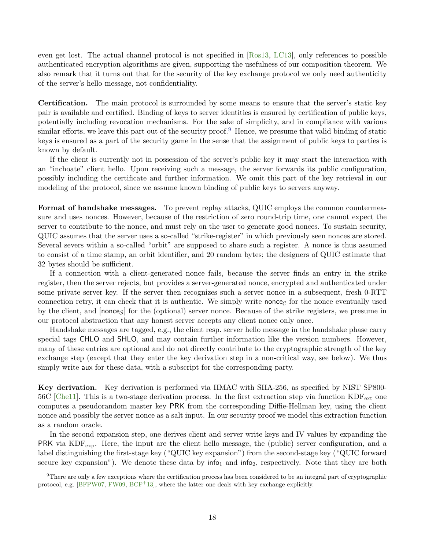<span id="page-17-1"></span>even get lost. The actual channel protocol is not specified in [\[Ros13,](#page-26-0) [LC13\]](#page-25-6), only references to possible authenticated encryption algorithms are given, supporting the usefulness of our composition theorem. We also remark that it turns out that for the security of the key exchange protocol we only need authenticity of the server's hello message, not confidentiality.

Certification. The main protocol is surrounded by some means to ensure that the server's static key pair is available and certified. Binding of keys to server identities is ensured by certification of public keys, potentially including revocation mechanisms. For the sake of simplicity, and in compliance with various similar efforts, we leave this part out of the security proof.<sup>[9](#page-17-0)</sup> Hence, we presume that valid binding of static keys is ensured as a part of the security game in the sense that the assignment of public keys to parties is known by default.

If the client is currently not in possession of the server's public key it may start the interaction with an "inchoate" client hello. Upon receiving such a message, the server forwards its public configuration, possibly including the certificate and further information. We omit this part of the key retrieval in our modeling of the protocol, since we assume known binding of public keys to servers anyway.

Format of handshake messages. To prevent replay attacks, QUIC employs the common countermeasure and uses nonces. However, because of the restriction of zero round-trip time, one cannot expect the server to contribute to the nonce, and must rely on the user to generate good nonces. To sustain security, QUIC assumes that the server uses a so-called "strike-register" in which previously seen nonces are stored. Several severs within a so-called "orbit" are supposed to share such a register. A nonce is thus assumed to consist of a time stamp, an orbit identifier, and 20 random bytes; the designers of QUIC estimate that 32 bytes should be sufficient.

If a connection with a client-generated nonce fails, because the server finds an entry in the strike register, then the server rejects, but provides a server-generated nonce, encrypted and authenticated under some private server key. If the server then recognizes such a server nonce in a subsequent, fresh 0-RTT connection retry, it can check that it is authentic. We simply write nonce<sub>C</sub> for the nonce eventually used by the client, and  $[none<sub>S</sub>]$  for the (optional) server nonce. Because of the strike registers, we presume in our protocol abstraction that any honest server accepts any client nonce only once.

Handshake messages are tagged, e.g., the client resp. server hello message in the handshake phase carry special tags CHLO and SHLO, and may contain further information like the version numbers. However, many of these entries are optional and do not directly contribute to the cryptographic strength of the key exchange step (except that they enter the key derivation step in a non-critical way, see below). We thus simply write aux for these data, with a subscript for the corresponding party.

Key derivation. Key derivation is performed via HMAC with SHA-256, as specified by NIST SP800- 56C [\[Che11\]](#page-24-6). This is a two-stage derivation process. In the first extraction step via function  $KDF_{ext}$  one computes a pseudorandom master key PRK from the corresponding Diffie-Hellman key, using the client nonce and possibly the server nonce as a salt input. In our security proof we model this extraction function as a random oracle.

In the second expansion step, one derives client and server write keys and IV values by expanding the PRK via  $KDF_{\text{exp}}$ . Here, the input are the client hello message, the (public) server configuration, and a label distinguishing the first-stage key ("QUIC key expansion") from the second-stage key ("QUIC forward secure key expansion"). We denote these data by  $\inf_{\Omega_1}$  and  $\inf_{\Omega_2}$ , respectively. Note that they are both

<span id="page-17-0"></span> $9$ There are only a few exceptions where the certification process has been considered to be an integral part of cryptographic protocol, e.g.  $[BFPW07, FW09, BCF<sup>+</sup>13]$  $[BFPW07, FW09, BCF<sup>+</sup>13]$  $[BFPW07, FW09, BCF<sup>+</sup>13]$  $[BFPW07, FW09, BCF<sup>+</sup>13]$  $[BFPW07, FW09, BCF<sup>+</sup>13]$  $[BFPW07, FW09, BCF<sup>+</sup>13]$ , where the latter one deals with key exchange explicitly.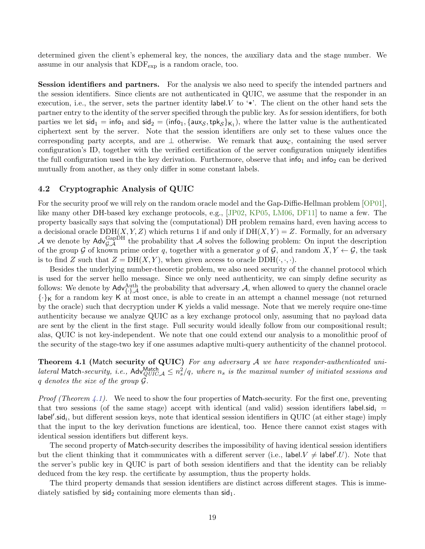<span id="page-18-2"></span>determined given the client's ephemeral key, the nonces, the auxiliary data and the stage number. We assume in our analysis that  $KDF_{\text{exp}}$  is a random oracle, too.

Session identifiers and partners. For the analysis we also need to specify the intended partners and the session identifiers. Since clients are not authenticated in QUIC, we assume that the responder in an execution, i.e., the server, sets the partner identity label.  $V$  to '\*'. The client on the other hand sets the partner entry to the identity of the server specified through the public key. As for session identifiers, for both parties we let  $sid_1 = info_1$  and  $sid_2 = (info_1, \{aux_S, tpk_S\}_{K_1})$ , where the latter value is the authenticated ciphertext sent by the server. Note that the session identifiers are only set to these values once the corresponding party accepts, and are  $\perp$  otherwise. We remark that aux<sub>c</sub>, containing the used server configuration's ID, together with the verified certification of the server configuration uniquely identifies the full configuration used in the key derivation. Furthermore, observe that  $\inf o_1$  and  $\inf o_2$  can be derived mutually from another, as they only differ in some constant labels.

#### <span id="page-18-0"></span>4.2 Cryptographic Analysis of QUIC

For the security proof we will rely on the random oracle model and the Gap-Diffie-Hellman problem [\[OP01\]](#page-26-1), like many other DH-based key exchange protocols, e.g., [\[JP02,](#page-25-8) [KP05,](#page-25-9) [LM06,](#page-26-2) [DF11\]](#page-24-9) to name a few. The property basically says that solving the (computational) DH problem remains hard, even having access to a decisional oracle  $DDH(X, Y, Z)$  which returns 1 if and only if  $DH(X, Y) = Z$ . Formally, for an adversary A we denote by  $\mathsf{Adv}_{\mathcal{G},\mathcal{A}}^{\text{GapDH}}$  the probability that A solves the following problem: On input the description of the group G of known prime order q, together with a generator g of G, and random  $X, Y \leftarrow G$ , the task is to find Z such that  $Z = DH(X, Y)$ , when given access to oracle  $DDH(\cdot, \cdot, \cdot)$ .

Besides the underlying number-theoretic problem, we also need security of the channel protocol which is used for the server hello message. Since we only need authenticity, we can simply define security as follows: We denote by  $\mathsf{Adv}_{\{\cdot\},\mathcal{A}}^{\text{Auth}}$  the probability that adversary  $\mathcal{A}$ , when allowed to query the channel oracle  $\{\cdot\}_K$  for a random key K at most once, is able to create in an attempt a channel message (not returned by the oracle) such that decryption under K yields a valid message. Note that we merely require one-time authenticity because we analyze QUIC as a key exchange protocol only, assuming that no payload data are sent by the client in the first stage. Full security would ideally follow from our compositional result; alas, QUIC is not key-independent. We note that one could extend our analysis to a monolithic proof of the security of the stage-two key if one assumes adaptive multi-query authenticity of the channel protocol.

<span id="page-18-1"></span>**Theorem 4.1 (Match security of QUIC)** For any adversary  $A$  we have responder-authenticated unilateral Match-security, i.e.,  $\text{Adv}_{QUIC,A}^{\text{Match}} \leq n_s^2/q$ , where  $n_s$  is the maximal number of initiated sessions and q denotes the size of the group G.

Proof (Theorem [4.1\)](#page-18-1). We need to show the four properties of Match-security. For the first one, preventing that two sessions (of the same stage) accept with identical (and valid) session identifiers label.sid<sub>i</sub> =  $\mathsf{label}'$ .sid<sub>i</sub>, but different session keys, note that identical session identifiers in QUIC (at either stage) imply that the input to the key derivation functions are identical, too. Hence there cannot exist stages with identical session identifiers but different keys.

The second property of Match-security describes the impossibility of having identical session identifiers but the client thinking that it communicates with a different server (i.e., label.  $V \neq$  label'. U). Note that the server's public key in QUIC is part of both session identifiers and that the identity can be reliably deduced from the key resp. the certificate by assumption, thus the property holds.

The third property demands that session identifiers are distinct across different stages. This is immediately satisfied by  $sid_2$  containing more elements than  $sid_1$ .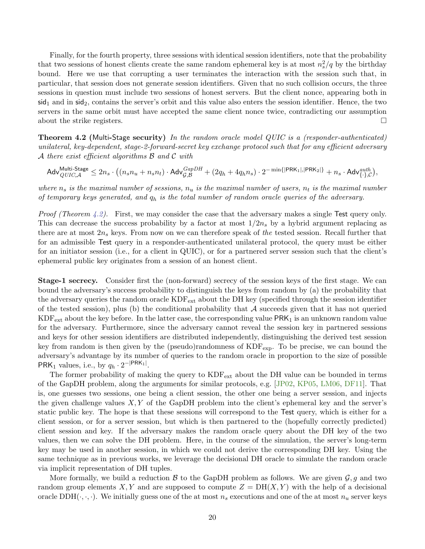<span id="page-19-1"></span>Finally, for the fourth property, three sessions with identical session identifiers, note that the probability that two sessions of honest clients create the same random ephemeral key is at most  $n_s^2/q$  by the birthday bound. Here we use that corrupting a user terminates the interaction with the session such that, in particular, that session does not generate session identifiers. Given that no such collision occurs, the three sessions in question must include two sessions of honest servers. But the client nonce, appearing both in  $\mathsf{sid}_1$  and in  $\mathsf{sid}_2$ , contains the server's orbit and this value also enters the session identifier. Hence, the two servers in the same orbit must have accepted the same client nonce twice, contradicting our assumption about the strike registers.

<span id="page-19-0"></span>**Theorem 4.2 (Multi-Stage security)** In the random oracle model QUIC is a (responder-authenticated) unilateral, key-dependent, stage-2-forward-secret key exchange protocol such that for any efficient adversary A there exist efficient algorithms  $\mathcal B$  and  $\mathcal C$  with

$$
\mathsf{Adv}^{\mathsf{Multi\text{-}Stage}}_{QUIC,\mathcal{A}} \leq 2n_s \cdot \big((n_sn_u+n_sn_t)\cdot\mathsf{Adv}^{\mathit{GapDH}}_{\mathcal{G},\mathcal{B}} + (2q_h+4q_hn_s)\cdot 2^{-\min\{|\mathsf{PRK}_1|,|\mathsf{PRK}_2|\}}+n_s\cdot\mathsf{Adv}^{\mathit{auth}}_{\{\cdot\},\mathcal{C}}\big),
$$

where  $n_s$  is the maximal number of sessions,  $n_u$  is the maximal number of users,  $n_t$  is the maximal number of temporary keys generated, and  $q_h$  is the total number of random oracle queries of the adversary.

*Proof (Theorem [4.2\)](#page-19-0).* First, we may consider the case that the adversary makes a single Test query only. This can decrease the success probability by a factor at most  $1/2n_s$  by a hybrid argument replacing as there are at most  $2n_s$  keys. From now on we can therefore speak of the tested session. Recall further that for an admissible Test query in a responder-authenticated unilateral protocol, the query must be either for an initiator session (i.e., for a client in QUIC), or for a partnered server session such that the client's ephemeral public key originates from a session of an honest client.

Stage-1 secrecy. Consider first the (non-forward) secrecy of the session keys of the first stage. We can bound the adversary's success probability to distinguish the keys from random by (a) the probability that the adversary queries the random oracle  $KDF_{ext}$  about the DH key (specified through the session identifier of the tested session), plus (b) the conditional probability that  $A$  succeeds given that it has not queried  $KDF_{ext}$  about the key before. In the latter case, the corresponding value  $PRK_1$  is an unknown random value for the adversary. Furthermore, since the adversary cannot reveal the session key in partnered sessions and keys for other session identifiers are distributed independently, distinguishing the derived test session key from random is then given by the (pseudo)randomness of  $KDF_{exp}$ . To be precise, we can bound the adversary's advantage by its number of queries to the random oracle in proportion to the size of possible PRK<sub>1</sub> values, i.e., by  $q_h \cdot 2^{-|PRK_1|}$ .

The former probability of making the query to  $KDF_{ext}$  about the DH value can be bounded in terms of the GapDH problem, along the arguments for similar protocols, e.g. [\[JP02,](#page-25-8) [KP05,](#page-25-9) [LM06,](#page-26-2) [DF11\]](#page-24-9). That is, one guesses two sessions, one being a client session, the other one being a server session, and injects the given challenge values  $X, Y$  of the GapDH problem into the client's ephemeral key and the server's static public key. The hope is that these sessions will correspond to the Test query, which is either for a client session, or for a server session, but which is then partnered to the (hopefully correctly predicted) client session and key. If the adversary makes the random oracle query about the DH key of the two values, then we can solve the DH problem. Here, in the course of the simulation, the server's long-term key may be used in another session, in which we could not derive the corresponding DH key. Using the same technique as in previous works, we leverage the decisional DH oracle to simulate the random oracle via implicit representation of DH tuples.

More formally, we build a reduction  $\beta$  to the GapDH problem as follows. We are given  $\mathcal{G}, g$  and two random group elements X, Y and are supposed to compute  $Z = DH(X, Y)$  with the help of a decisional oracle  $DDH(\cdot,\cdot,\cdot)$ . We initially guess one of the at most  $n_s$  executions and one of the at most  $n_u$  server keys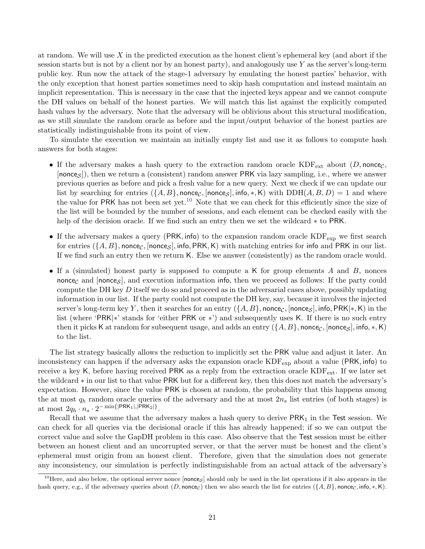at random. We will use  $X$  in the predicted execution as the honest client's ephemeral key (and abort if the session starts but is not by a client nor by an honest party), and analogously use  $Y$  as the server's long-term public key. Run now the attack of the stage-1 adversary by emulating the honest parties' behavior, with the only exception that honest parties sometimes need to skip hash computation and instead maintain an implicit representation. This is necessary in the case that the injected keys appear and we cannot compute the DH values on behalf of the honest parties. We will match this list against the explicitly computed hash values by the adversary. Note that the adversary will be oblivious about this structural modification, as we still simulate the random oracle as before and the input/output behavior of the honest parties are statistically indistinguishable from its point of view.

To simulate the execution we maintain an initially empty list and use it as follows to compute hash answers for both stages:

- If the adversary makes a hash query to the extraction random oracle  $KDF_{ext}$  about  $(D, \text{none}c,$  $[nonce_S]$ , then we return a (consistent) random answer PRK via lazy sampling, i.e., where we answer previous queries as before and pick a fresh value for a new query. Next we check if we can update our list by searching for entries  $({A, B}$ , nonce<sub>C</sub>, [nonce<sub>S</sub>], info, \*, K) with DDH(A, B, D) = 1 and where the value for PRK has not been set yet.<sup>[10](#page-20-0)</sup> Note that we can check for this efficiently since the size of the list will be bounded by the number of sessions, and each element can be checked easily with the help of the decision oracle. If we find such an entry then we set the wildcard ∗ to PRK.
- If the adversary makes a query (PRK, info) to the expansion random oracle  $KDF_{\text{exp}}$  we first search for entries  $(\{A, B\})$ , nonce<sub>C</sub>, [nonce<sub>S</sub>], info, PRK, K) with matching entries for info and PRK in our list. If we find such an entry then we return K. Else we answer (consistently) as the random oracle would.
- If a (simulated) honest party is supposed to compute a K for group elements  $A$  and  $B$ , nonces nonce<sub>C</sub> and [nonce<sub>S</sub>], and execution information info, then we proceed as follows: If the party could compute the DH key  $D$  itself we do so and proceed as in the adversarial cases above, possibly updating information in our list. If the party could not compute the DH key, say, because it involves the injected server's long-term key Y, then it searches for an entry  $(\{A, B\}, \text{none}_C, \text{none}_S], \text{info}, \text{PRK} | *, \text{K})$  in the list (where 'PRK|∗' stands for 'either PRK or ∗') and subsequently uses K. If there is no such entry then it picks K at random for subsequent usage, and adds an entry  $(\{A, B\}, \text{none}_\mathcal{C}, \text{none}_\mathcal{S}], \text{info}, *, \mathsf{K})$ to the list.

The list strategy basically allows the reduction to implicitly set the PRK value and adjust it later. An inconsistency can happen if the adversary asks the expansion oracle KDF<sub>exp</sub> about a value (PRK, info) to receive a key K, before having received PRK as a reply from the extraction oracle  $KDF_{ext}$ . If we later set the wildcard ∗ in our list to that value PRK but for a different key, then this does not match the adversary's expectation. However, since the value PRK is chosen at random, the probability that this happens among the at most  $q_h$  random oracle queries of the adversary and the at most  $2n_s$  list entries (of both stages) is at most  $2q_h \cdot n_s \cdot 2^{-\min\{|\text{PRK}_1|, |\text{PRK}_2|\}}$ .

Recall that we assume that the adversary makes a hash query to derive  $PRK<sub>1</sub>$  in the Test session. We can check for all queries via the decisional oracle if this has already happened; if so we can output the correct value and solve the GapDH problem in this case. Also observe that the Test session must be either between an honest client and an uncorrupted server, or that the server must be honest and the client's ephemeral must origin from an honest client. Therefore, given that the simulation does not generate any inconsistency, our simulation is perfectly indistinguishable from an actual attack of the adversary's

<span id="page-20-0"></span><sup>&</sup>lt;sup>10</sup>Here, and also below, the optional server nonce  $[none<sub>s</sub>]$  should only be used in the list operations if it also appears in the hash query, e.g., if the adversary queries about  $(D, \text{none}_\mathcal{C})$  then we also search the list for entries  $(\{A, B\}, \text{none}_\mathcal{C}, \text{info}, *, \mathsf{K})$ .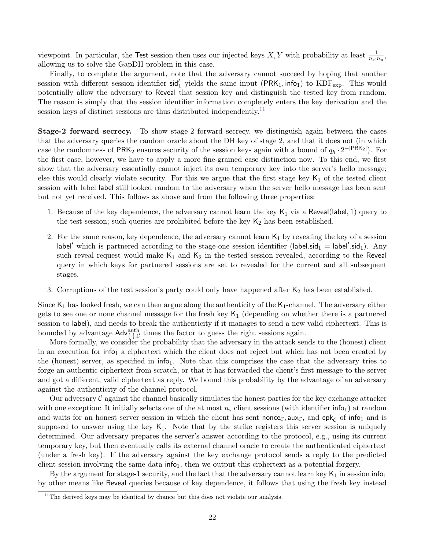viewpoint. In particular, the Test session then uses our injected keys  $X, Y$  with probability at least  $\frac{1}{n_s \cdot n_u}$ , allowing us to solve the GapDH problem in this case.

Finally, to complete the argument, note that the adversary cannot succeed by hoping that another session with different session identifier  $sid'_1$  yields the same input (PRK<sub>1</sub>, info<sub>1</sub>) to KDF<sub>exp</sub>. This would potentially allow the adversary to Reveal that session key and distinguish the tested key from random. The reason is simply that the session identifier information completely enters the key derivation and the session keys of distinct sessions are thus distributed independently.<sup>[11](#page-21-0)</sup>

Stage-2 forward secrecy. To show stage-2 forward secrecy, we distinguish again between the cases that the adversary queries the random oracle about the DH key of stage 2, and that it does not (in which case the randomness of PRK<sub>2</sub> ensures security of the session keys again with a bound of  $q_h \cdot 2^{-|PRK_2|}$ ). For the first case, however, we have to apply a more fine-grained case distinction now. To this end, we first show that the adversary essentially cannot inject its own temporary key into the server's hello message; else this would clearly violate security. For this we argue that the first stage key  $K_1$  of the tested client session with label label still looked random to the adversary when the server hello message has been sent but not yet received. This follows as above and from the following three properties:

- 1. Because of the key dependence, the adversary cannot learn the key  $K_1$  via a Reveal(label, 1) query to the test session; such queries are prohibited before the key  $K_2$  has been established.
- 2. For the same reason, key dependence, the adversary cannot learn  $K_1$  by revealing the key of a session label' which is partnered according to the stage-one session identifier (label.sid<sub>1</sub> = label'.sid<sub>1</sub>). Any such reveal request would make  $K_1$  and  $K_2$  in the tested session revealed, according to the Reveal query in which keys for partnered sessions are set to revealed for the current and all subsequent stages.
- 3. Corruptions of the test session's party could only have happened after  $K_2$  has been established.

Since  $K_1$  has looked fresh, we can then argue along the authenticity of the  $K_1$ -channel. The adversary either gets to see one or none channel message for the fresh key  $K_1$  (depending on whether there is a partnered session to label), and needs to break the authenticity if it manages to send a new valid ciphertext. This is bounded by advantage  $\mathsf{Adv}_{\{\cdot\},\mathcal{C}}^{\text{auth}}$  times the factor to guess the right sessions again.

More formally, we consider the probability that the adversary in the attack sends to the (honest) client in an execution for info<sub>1</sub> a ciphertext which the client does not reject but which has not been created by the (honest) server, as specified in  $\text{info}_1$ . Note that this comprises the case that the adversary tries to forge an authentic ciphertext from scratch, or that it has forwarded the client's first message to the server and got a different, valid ciphertext as reply. We bound this probability by the advantage of an adversary against the authenticity of the channel protocol.

Our adversary  $\mathcal C$  against the channel basically simulates the honest parties for the key exchange attacker with one exception: It initially selects one of the at most  $n_s$  client sessions (with identifier info<sub>1</sub>) at random and waits for an honest server session in which the client has sent nonce<sub>C</sub>, aux<sub>C</sub>, and epk<sub>C</sub> of info<sub>1</sub> and is supposed to answer using the key  $K_1$ . Note that by the strike registers this server session is uniquely determined. Our adversary prepares the server's answer according to the protocol, e.g., using its current temporary key, but then eventually calls its external channel oracle to create the authenticated ciphertext (under a fresh key). If the adversary against the key exchange protocol sends a reply to the predicted client session involving the same data  $info_1$ , then we output this ciphertext as a potential forgery.

By the argument for stage-1 security, and the fact that the adversary cannot learn key  $K_1$  in session info<sub>1</sub> by other means like Reveal queries because of key dependence, it follows that using the fresh key instead

<span id="page-21-0"></span> $11$ The derived keys may be identical by chance but this does not violate our analysis.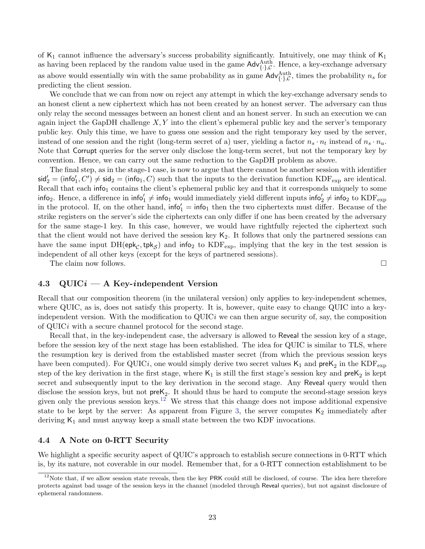of  $K_1$  cannot influence the adversary's success probability significantly. Intuitively, one may think of  $K_1$ as having been replaced by the random value used in the game  $\mathsf{Adv}_{\{\cdot\},\mathcal{C}}^{\mathsf{Aut}h}$ . Hence, a key-exchange adversary as above would essentially win with the same probability as in game  $\mathsf{Adv}_{\{\cdot\},\mathcal{C}}^{\text{Auth}}$ , times the probability  $n_s$  for predicting the client session.

We conclude that we can from now on reject any attempt in which the key-exchange adversary sends to an honest client a new ciphertext which has not been created by an honest server. The adversary can thus only relay the second messages between an honest client and an honest server. In such an execution we can again inject the GapDH challenge  $X, Y$  into the client's ephemeral public key and the server's temporary public key. Only this time, we have to guess one session and the right temporary key used by the server, instead of one session and the right (long-term secret of a) user, yielding a factor  $n_s \cdot n_t$  instead of  $n_s \cdot n_u$ . Note that Corrupt queries for the server only disclose the long-term secret, but not the temporary key by convention. Hence, we can carry out the same reduction to the GapDH problem as above.

The final step, as in the stage-1 case, is now to argue that there cannot be another session with identifier  $\mathsf{sid}_2' = (\mathsf{info}'_1, C') \neq \mathsf{sid}_2 = (\mathsf{info}_1, C)$  such that the inputs to the derivation function KDF<sub>exp</sub> are identical. Recall that each info<sub>1</sub> contains the client's ephemeral public key and that it corresponds uniquely to some  $\mathsf{info}_2$ . Hence, a difference in  $\mathsf{info}'_1 \neq \mathsf{info}_1$  would immediately yield different inputs  $\mathsf{info}'_2 \neq \mathsf{info}_2$  to  $\mathsf{KDF}_\text{exp}$ in the protocol. If, on the other hand,  $\text{info}'_1 = \text{info}_1$  then the two ciphertexts must differ. Because of the strike registers on the server's side the ciphertexts can only differ if one has been created by the adversary for the same stage-1 key. In this case, however, we would have rightfully rejected the ciphertext such that the client would not have derived the session key  $K_2$ . It follows that only the partnered sessions can have the same input  $DH(\textsf{epk}_\mathcal{C},\textsf{tpk}_\mathcal{S})$  and info<sub>2</sub> to  $KDF_{\text{exp}},$  implying that the key in the test session is independent of all other keys (except for the keys of partnered sessions).

The claim now follows.  $\Box$ 

## <span id="page-22-0"></span>4.3 QUICi — A Key-independent Version

Recall that our composition theorem (in the unilateral version) only applies to key-independent schemes, where QUIC, as is, does not satisfy this property. It is, however, quite easy to change QUIC into a keyindependent version. With the modification to QUIC<sub>i</sub> we can then argue security of, say, the composition of QUIC $i$  with a secure channel protocol for the second stage.

Recall that, in the key-independent case, the adversary is allowed to Reveal the session key of a stage, before the session key of the next stage has been established. The idea for QUIC is similar to TLS, where the resumption key is derived from the established master secret (from which the previous session keys have been computed). For QUIC*i*, one would simply derive two secret values  $\mathsf{K}_1$  and  $\mathsf{preK}_2$  in the KDF<sub>exp</sub> step of the key derivation in the first stage, where  $\mathsf{K}_1$  is still the first stage's session key and  $\mathsf{preK}_2$  is kept secret and subsequently input to the key derivation in the second stage. Any Reveal query would then disclose the session keys, but not  $\mathsf{preK}_2$ . It should thus be hard to compute the second-stage session keys given only the previous session keys.<sup>[12](#page-22-2)</sup> We stress that this change does not impose additional expensive state to be kept by the server: As apparent from Figure [3,](#page-16-2) the server computes  $K_2$  immediately after deriving  $K_1$  and must anyway keep a small state between the two KDF invocations.

# <span id="page-22-1"></span>4.4 A Note on 0-RTT Security

We highlight a specific security aspect of QUIC's approach to establish secure connections in 0-RTT which is, by its nature, not coverable in our model. Remember that, for a 0-RTT connection establishment to be

<span id="page-22-2"></span> $12$ Note that, if we allow session state reveals, then the key PRK could still be disclosed, of course. The idea here therefore protects against bad usage of the session keys in the channel (modeled through Reveal queries), but not against disclosure of ephemeral randomness.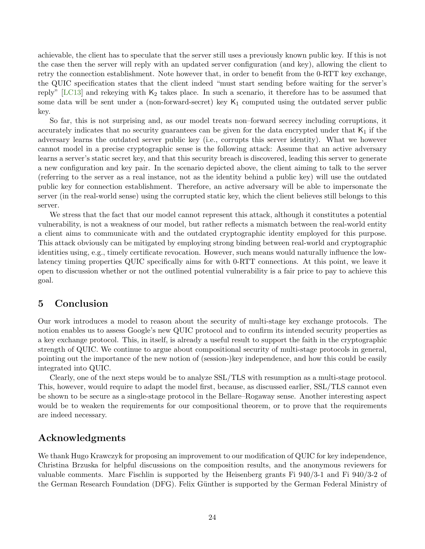<span id="page-23-1"></span>achievable, the client has to speculate that the server still uses a previously known public key. If this is not the case then the server will reply with an updated server configuration (and key), allowing the client to retry the connection establishment. Note however that, in order to benefit from the 0-RTT key exchange, the QUIC specification states that the client indeed "must start sending before waiting for the server's reply" [\[LC13\]](#page-25-6) and rekeying with  $K_2$  takes place. In such a scenario, it therefore has to be assumed that some data will be sent under a (non-forward-secret) key  $K_1$  computed using the outdated server public key.

So far, this is not surprising and, as our model treats non–forward secrecy including corruptions, it accurately indicates that no security guarantees can be given for the data encrypted under that  $K_1$  if the adversary learns the outdated server public key (i.e., corrupts this server identity). What we however cannot model in a precise cryptographic sense is the following attack: Assume that an active adversary learns a server's static secret key, and that this security breach is discovered, leading this server to generate a new configuration and key pair. In the scenario depicted above, the client aiming to talk to the server (referring to the server as a real instance, not as the identity behind a public key) will use the outdated public key for connection establishment. Therefore, an active adversary will be able to impersonate the server (in the real-world sense) using the corrupted static key, which the client believes still belongs to this server.

We stress that the fact that our model cannot represent this attack, although it constitutes a potential vulnerability, is not a weakness of our model, but rather reflects a mismatch between the real-world entity a client aims to communicate with and the outdated cryptographic identity employed for this purpose. This attack obviously can be mitigated by employing strong binding between real-world and cryptographic identities using, e.g., timely certificate revocation. However, such means would naturally influence the lowlatency timing properties QUIC specifically aims for with 0-RTT connections. At this point, we leave it open to discussion whether or not the outlined potential vulnerability is a fair price to pay to achieve this goal.

# <span id="page-23-0"></span>5 Conclusion

Our work introduces a model to reason about the security of multi-stage key exchange protocols. The notion enables us to assess Google's new QUIC protocol and to confirm its intended security properties as a key exchange protocol. This, in itself, is already a useful result to support the faith in the cryptographic strength of QUIC. We continue to argue about compositional security of multi-stage protocols in general, pointing out the importance of the new notion of (session-)key independence, and how this could be easily integrated into QUIC.

Clearly, one of the next steps would be to analyze SSL/TLS with resumption as a multi-stage protocol. This, however, would require to adapt the model first, because, as discussed earlier, SSL/TLS cannot even be shown to be secure as a single-stage protocol in the Bellare–Rogaway sense. Another interesting aspect would be to weaken the requirements for our compositional theorem, or to prove that the requirements are indeed necessary.

# Acknowledgments

We thank Hugo Krawczyk for proposing an improvement to our modification of QUIC for key independence, Christina Brzuska for helpful discussions on the composition results, and the anonymous reviewers for valuable comments. Marc Fischlin is supported by the Heisenberg grants Fi 940/3-1 and Fi 940/3-2 of the German Research Foundation (DFG). Felix Günther is supported by the German Federal Ministry of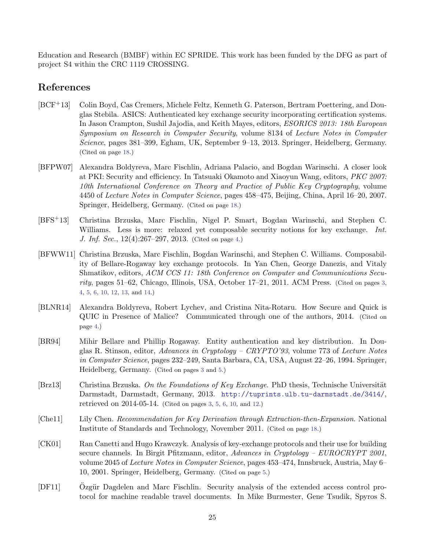Education and Research (BMBF) within EC SPRIDE. This work has been funded by the DFG as part of project S4 within the CRC 1119 CROSSING.

# References

- <span id="page-24-8"></span>[BCF+13] Colin Boyd, Cas Cremers, Michele Feltz, Kenneth G. Paterson, Bertram Poettering, and Douglas Stebila. ASICS: Authenticated key exchange security incorporating certification systems. In Jason Crampton, Sushil Jajodia, and Keith Mayes, editors, ESORICS 2013: 18th European Symposium on Research in Computer Security, volume 8134 of Lecture Notes in Computer Science, pages 381–399, Egham, UK, September 9–13, 2013. Springer, Heidelberg, Germany. (Cited on page [18.](#page-17-1))
- <span id="page-24-7"></span>[BFPW07] Alexandra Boldyreva, Marc Fischlin, Adriana Palacio, and Bogdan Warinschi. A closer look at PKI: Security and efficiency. In Tatsuaki Okamoto and Xiaoyun Wang, editors, PKC 2007: 10th International Conference on Theory and Practice of Public Key Cryptography, volume 4450 of Lecture Notes in Computer Science, pages 458–475, Beijing, China, April 16–20, 2007. Springer, Heidelberg, Germany. (Cited on page [18.](#page-17-1))
- <span id="page-24-3"></span>[BFS+13] Christina Brzuska, Marc Fischlin, Nigel P. Smart, Bogdan Warinschi, and Stephen C. Williams. Less is more: relaxed yet composable security notions for key exchange. *Int*. J. Inf. Sec., 12(4):267–297, 2013. (Cited on page [4.](#page-3-4))
- <span id="page-24-2"></span>[BFWW11] Christina Brzuska, Marc Fischlin, Bogdan Warinschi, and Stephen C. Williams. Composability of Bellare-Rogaway key exchange protocols. In Yan Chen, George Danezis, and Vitaly Shmatikov, editors, ACM CCS 11: 18th Conference on Computer and Communications Security, pages 51–62, Chicago, Illinois, USA, October 17–21, 2011. ACM Press. (Cited on pages [3,](#page-2-3) [4,](#page-3-4) [5,](#page-4-2) [6,](#page-5-3) [10,](#page-9-3) [12,](#page-11-3) [13,](#page-12-5) and [14.](#page-13-1))
- <span id="page-24-4"></span>[BLNR14] Alexandra Boldyreva, Robert Lychev, and Cristina Nita-Rotaru. How Secure and Quick is QUIC in Presence of Malice? Communicated through one of the authors, 2014. (Cited on page [4.](#page-3-4))
- <span id="page-24-0"></span>[BR94] Mihir Bellare and Phillip Rogaway. Entity authentication and key distribution. In Douglas R. Stinson, editor, Advances in Cryptology – CRYPTO'93, volume 773 of Lecture Notes in Computer Science, pages 232–249, Santa Barbara, CA, USA, August 22–26, 1994. Springer, Heidelberg, Germany. (Cited on pages [3](#page-2-3) and [5.](#page-4-2))
- <span id="page-24-1"></span>[Brz13] Christina Brzuska. On the Foundations of Key Exchange. PhD thesis, Technische Universität Darmstadt, Darmstadt, Germany, 2013. <http://tuprints.ulb.tu-darmstadt.de/3414/>, retrieved on 2014-05-14. (Cited on pages [3,](#page-2-3) [5,](#page-4-2) [6,](#page-5-3) [10,](#page-9-3) and [12.](#page-11-3))
- <span id="page-24-6"></span>[Che11] Lily Chen. Recommendation for Key Derivation through Extraction-then-Expansion. National Institute of Standards and Technology, November 2011. (Cited on page [18.](#page-17-1))
- <span id="page-24-5"></span>[CK01] Ran Canetti and Hugo Krawczyk. Analysis of key-exchange protocols and their use for building secure channels. In Birgit Pfitzmann, editor, Advances in Cryptology – EUROCRYPT 2001, volume 2045 of Lecture Notes in Computer Science, pages 453–474, Innsbruck, Austria, May 6– 10, 2001. Springer, Heidelberg, Germany. (Cited on page [5.](#page-4-2))
- <span id="page-24-9"></span>[DF11] Ozgür Dagdelen and Marc Fischlin. Security analysis of the extended access control protocol for machine readable travel documents. In Mike Burmester, Gene Tsudik, Spyros S.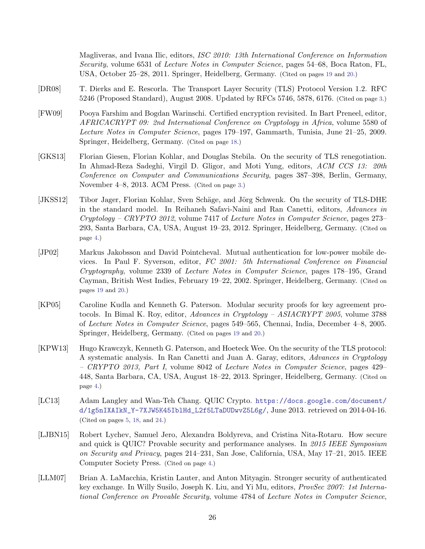Magliveras, and Ivana Ilic, editors, ISC 2010: 13th International Conference on Information Security, volume 6531 of Lecture Notes in Computer Science, pages 54–68, Boca Raton, FL, USA, October 25–28, 2011. Springer, Heidelberg, Germany. (Cited on pages [19](#page-18-2) and [20.](#page-19-1))

- <span id="page-25-0"></span>[DR08] T. Dierks and E. Rescorla. The Transport Layer Security (TLS) Protocol Version 1.2. RFC 5246 (Proposed Standard), August 2008. Updated by RFCs 5746, 5878, 6176. (Cited on page [3.](#page-2-3))
- <span id="page-25-7"></span>[FW09] Pooya Farshim and Bogdan Warinschi. Certified encryption revisited. In Bart Preneel, editor, AFRICACRYPT 09: 2nd International Conference on Cryptology in Africa, volume 5580 of Lecture Notes in Computer Science, pages 179–197, Gammarth, Tunisia, June 21–25, 2009. Springer, Heidelberg, Germany. (Cited on page [18.](#page-17-1))
- <span id="page-25-1"></span>[GKS13] Florian Giesen, Florian Kohlar, and Douglas Stebila. On the security of TLS renegotiation. In Ahmad-Reza Sadeghi, Virgil D. Gligor, and Moti Yung, editors, ACM CCS 13: 20th Conference on Computer and Communications Security, pages 387–398, Berlin, Germany, November 4–8, 2013. ACM Press. (Cited on page [3.](#page-2-3))
- <span id="page-25-2"></span>[JKSS12] Tibor Jager, Florian Kohlar, Sven Schäge, and Jörg Schwenk. On the security of TLS-DHE in the standard model. In Reihaneh Safavi-Naini and Ran Canetti, editors, Advances in Cryptology – CRYPTO 2012, volume 7417 of Lecture Notes in Computer Science, pages 273– 293, Santa Barbara, CA, USA, August 19–23, 2012. Springer, Heidelberg, Germany. (Cited on page [4.](#page-3-4))
- <span id="page-25-8"></span>[JP02] Markus Jakobsson and David Pointcheval. Mutual authentication for low-power mobile devices. In Paul F. Syverson, editor, FC 2001: 5th International Conference on Financial Cryptography, volume 2339 of Lecture Notes in Computer Science, pages 178–195, Grand Cayman, British West Indies, February 19–22, 2002. Springer, Heidelberg, Germany. (Cited on pages [19](#page-18-2) and [20.](#page-19-1))
- <span id="page-25-9"></span>[KP05] Caroline Kudla and Kenneth G. Paterson. Modular security proofs for key agreement protocols. In Bimal K. Roy, editor, Advances in Cryptology – ASIACRYPT 2005, volume 3788 of Lecture Notes in Computer Science, pages 549–565, Chennai, India, December 4–8, 2005. Springer, Heidelberg, Germany. (Cited on pages [19](#page-18-2) and [20.](#page-19-1))
- <span id="page-25-3"></span>[KPW13] Hugo Krawczyk, Kenneth G. Paterson, and Hoeteck Wee. On the security of the TLS protocol: A systematic analysis. In Ran Canetti and Juan A. Garay, editors, Advances in Cryptology – CRYPTO 2013, Part I, volume 8042 of Lecture Notes in Computer Science, pages 429– 448, Santa Barbara, CA, USA, August 18–22, 2013. Springer, Heidelberg, Germany. (Cited on page [4.](#page-3-4))
- <span id="page-25-6"></span>[LC13] Adam Langley and Wan-Teh Chang. QUIC Crypto. [https://docs.google.com/document/](https://docs.google.com/document/d/1g5nIXAIkN_Y-7XJW5K45IblHd_L2f5LTaDUDwvZ5L6g/) [d/1g5nIXAIkN\\_Y-7XJW5K45IblHd\\_L2f5LTaDUDwvZ5L6g/](https://docs.google.com/document/d/1g5nIXAIkN_Y-7XJW5K45IblHd_L2f5LTaDUDwvZ5L6g/), June 2013. retrieved on 2014-04-16. (Cited on pages [5,](#page-4-2) [18,](#page-17-1) and [24.](#page-23-1))
- <span id="page-25-4"></span>[LJBN15] Robert Lychev, Samuel Jero, Alexandra Boldyreva, and Cristina Nita-Rotaru. How secure and quick is QUIC? Provable security and performance analyses. In 2015 IEEE Symposium on Security and Privacy, pages 214–231, San Jose, California, USA, May 17–21, 2015. IEEE Computer Society Press. (Cited on page [4.](#page-3-4))
- <span id="page-25-5"></span>[LLM07] Brian A. LaMacchia, Kristin Lauter, and Anton Mityagin. Stronger security of authenticated key exchange. In Willy Susilo, Joseph K. Liu, and Yi Mu, editors, *ProvSec 2007: 1st Interna*tional Conference on Provable Security, volume 4784 of Lecture Notes in Computer Science,